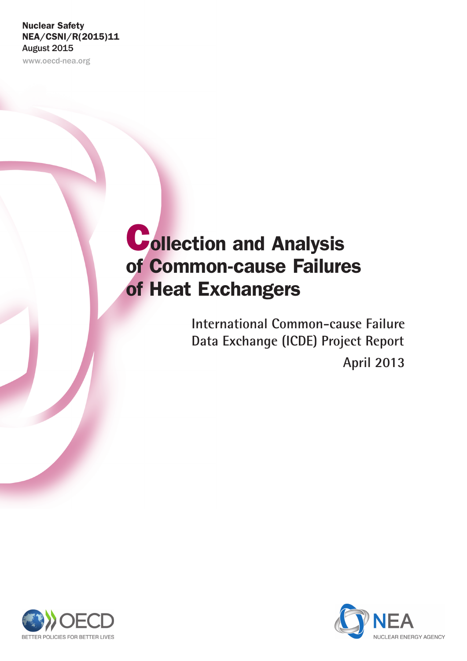Nuclear Safety NEA/CSNI/R(2015)11 August 2015

www.oecd-nea.org

# **Collection and Analysis** of Common-cause Failures of Heat Exchangers

**International Common-cause Failure Data Exchange (ICDE) Project Report April 2013**



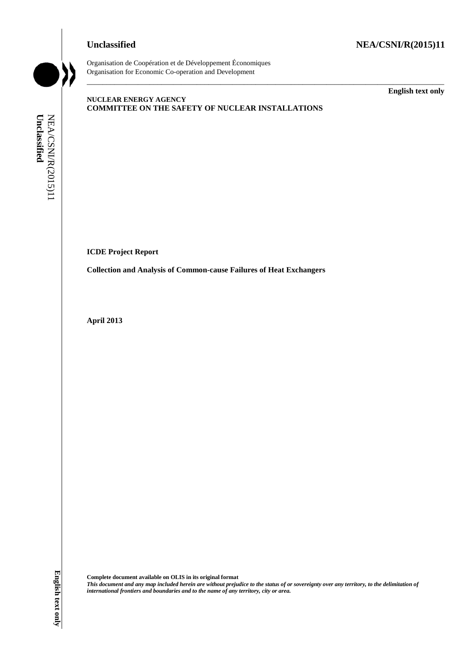### **Unclassified NEA/CSNI/R(2015)11**



**Unclassified**

NEA/CSNI/R(2015)11

NEA/CSNI/R(2015)11<br>Unclassified

Organisation de Coopération et de Développement Économiques Organisation for Economic Co-operation and Development

### **NUCLEAR ENERGY AGENCY COMMITTEE ON THE SAFETY OF NUCLEAR INSTALLATIONS**

\_\_\_\_\_\_\_\_\_\_\_\_\_\_\_\_\_\_\_\_\_\_\_\_\_\_\_\_\_\_\_\_\_\_\_\_\_\_\_\_\_\_\_\_\_\_\_\_\_\_\_\_\_\_\_\_\_\_\_\_\_\_\_\_\_\_\_\_\_\_\_\_\_\_\_\_\_\_\_\_\_\_\_\_\_\_\_\_\_\_\_

**English text only**

## **ICDE Project Report**

**Collection and Analysis of Common-cause Failures of Heat Exchangers**

**April 2013**

**Complete document available on OLIS in its original format** *This document and any map included herein are without prejudice to the status of or sovereignty over any territory, to the delimitation of international frontiers and boundaries and to the name of any territory, city or area.*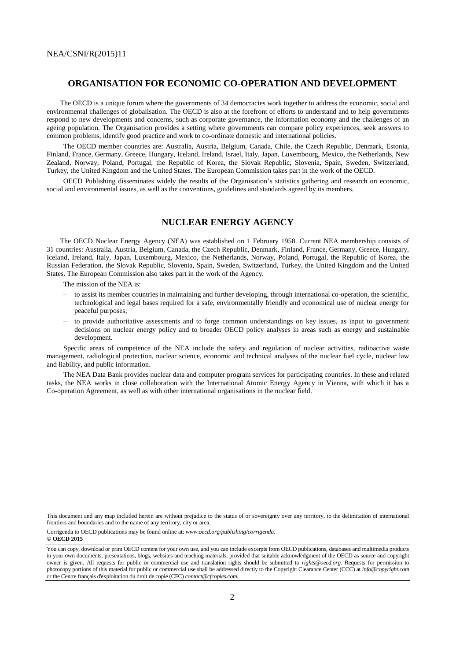### **ORGANISATION FOR ECONOMIC CO-OPERATION AND DEVELOPMENT**

The OECD is a unique forum where the governments of 34 democracies work together to address the economic, social and environmental challenges of globalisation. The OECD is also at the forefront of efforts to understand and to help governments respond to new developments and concerns, such as corporate governance, the information economy and the challenges of an ageing population. The Organisation provides a setting where governments can compare policy experiences, seek answers to common problems, identify good practice and work to co-ordinate domestic and international policies.

The OECD member countries are: Australia, Austria, Belgium, Canada, Chile, the Czech Republic, Denmark, Estonia, Finland, France, Germany, Greece, Hungary, Iceland, Ireland, Israel, Italy, Japan, Luxembourg, Mexico, the Netherlands, New Zealand, Norway, Poland, Portugal, the Republic of Korea, the Slovak Republic, Slovenia, Spain, Sweden, Switzerland, Turkey, the United Kingdom and the United States. The European Commission takes part in the work of the OECD.

OECD Publishing disseminates widely the results of the Organisation's statistics gathering and research on economic, social and environmental issues, as well as the conventions, guidelines and standards agreed by its members.

### **NUCLEAR ENERGY AGENCY**

The OECD Nuclear Energy Agency (NEA) was established on 1 February 1958. Current NEA membership consists of 31 countries: Australia, Austria, Belgium, Canada, the Czech Republic, Denmark, Finland, France, Germany, Greece, Hungary, Iceland, Ireland, Italy, Japan, Luxembourg, Mexico, the Netherlands, Norway, Poland, Portugal, the Republic of Korea, the Russian Federation, the Slovak Republic, Slovenia, Spain, Sweden, Switzerland, Turkey, the United Kingdom and the United States. The European Commission also takes part in the work of the Agency.

The mission of the NEA is:

- to assist its member countries in maintaining and further developing, through international co-operation, the scientific, technological and legal bases required for a safe, environmentally friendly and economical use of nuclear energy for peaceful purposes;
- to provide authoritative assessments and to forge common understandings on key issues, as input to government decisions on nuclear energy policy and to broader OECD policy analyses in areas such as energy and sustainable development.

Specific areas of competence of the NEA include the safety and regulation of nuclear activities, radioactive waste management, radiological protection, nuclear science, economic and technical analyses of the nuclear fuel cycle, nuclear law and liability, and public information.

The NEA Data Bank provides nuclear data and computer program services for participating countries. In these and related tasks, the NEA works in close collaboration with the International Atomic Energy Agency in Vienna, with which it has a Co-operation Agreement, as well as with other international organisations in the nuclear field.

This document and any map included herein are without prejudice to the status of or sovereignty over any territory, to the delimitation of international frontiers and boundaries and to the name of any territory, city or area.

Corrigenda to OECD publications may be found online at: *www.oecd.org/publishing/corrigenda*.

**© OECD 2015**

You can copy, download or print OECD content for your own use, and you can include excerpts from OECD publications, databases and multimedia products in your own documents, presentations, blogs, websites and teaching materials, provided that suitable acknowledgment of the OECD as source and copyright owner is given. All requests for public or commercial use and translation rights should be submitted to *rights@oecd.org*. Requests for permission to photocopy portions of this material for public or commercial use shall be addressed directly to the Copyright Clearance Center (CCC) at *info@copyright.com*  or the Centre français d'exploitation du droit de copie (CFC) *contact@cfcopies.com*.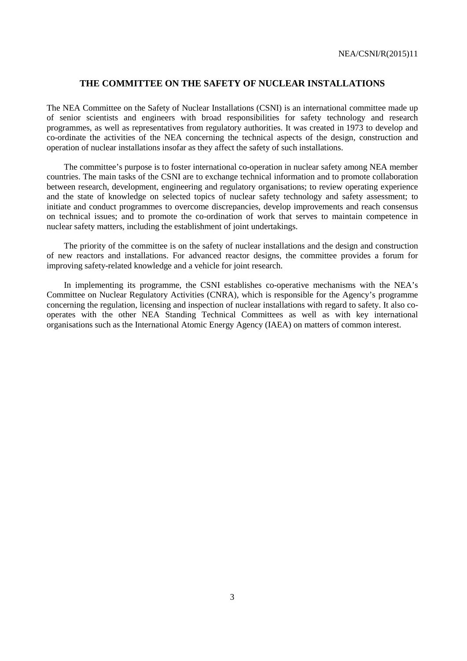### **THE COMMITTEE ON THE SAFETY OF NUCLEAR INSTALLATIONS**

The NEA Committee on the Safety of Nuclear Installations (CSNI) is an international committee made up of senior scientists and engineers with broad responsibilities for safety technology and research programmes, as well as representatives from regulatory authorities. It was created in 1973 to develop and co-ordinate the activities of the NEA concerning the technical aspects of the design, construction and operation of nuclear installations insofar as they affect the safety of such installations.

The committee's purpose is to foster international co-operation in nuclear safety among NEA member countries. The main tasks of the CSNI are to exchange technical information and to promote collaboration between research, development, engineering and regulatory organisations; to review operating experience and the state of knowledge on selected topics of nuclear safety technology and safety assessment; to initiate and conduct programmes to overcome discrepancies, develop improvements and reach consensus on technical issues; and to promote the co-ordination of work that serves to maintain competence in nuclear safety matters, including the establishment of joint undertakings.

The priority of the committee is on the safety of nuclear installations and the design and construction of new reactors and installations. For advanced reactor designs, the committee provides a forum for improving safety-related knowledge and a vehicle for joint research.

In implementing its programme, the CSNI establishes co-operative mechanisms with the NEA's Committee on Nuclear Regulatory Activities (CNRA), which is responsible for the Agency's programme concerning the regulation, licensing and inspection of nuclear installations with regard to safety. It also cooperates with the other NEA Standing Technical Committees as well as with key international organisations such as the International Atomic Energy Agency (IAEA) on matters of common interest.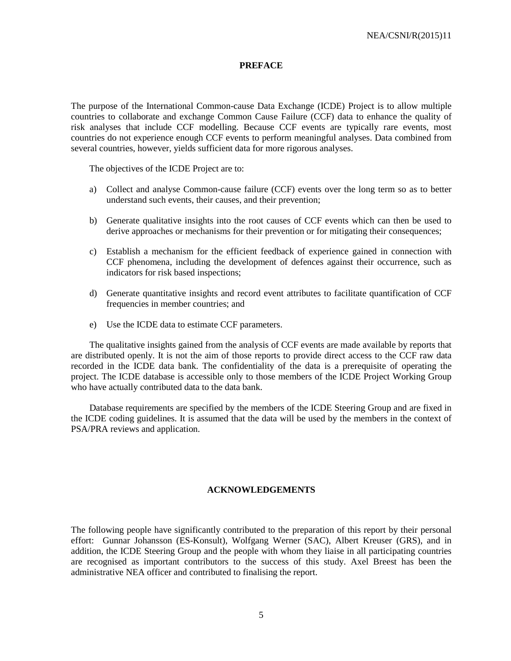#### **PREFACE**

The purpose of the International Common-cause Data Exchange (ICDE) Project is to allow multiple countries to collaborate and exchange Common Cause Failure (CCF) data to enhance the quality of risk analyses that include CCF modelling. Because CCF events are typically rare events, most countries do not experience enough CCF events to perform meaningful analyses. Data combined from several countries, however, yields sufficient data for more rigorous analyses.

The objectives of the ICDE Project are to:

- a) Collect and analyse Common-cause failure (CCF) events over the long term so as to better understand such events, their causes, and their prevention;
- b) Generate qualitative insights into the root causes of CCF events which can then be used to derive approaches or mechanisms for their prevention or for mitigating their consequences;
- c) Establish a mechanism for the efficient feedback of experience gained in connection with CCF phenomena, including the development of defences against their occurrence, such as indicators for risk based inspections;
- d) Generate quantitative insights and record event attributes to facilitate quantification of CCF frequencies in member countries; and
- e) Use the ICDE data to estimate CCF parameters.

The qualitative insights gained from the analysis of CCF events are made available by reports that are distributed openly. It is not the aim of those reports to provide direct access to the CCF raw data recorded in the ICDE data bank. The confidentiality of the data is a prerequisite of operating the project. The ICDE database is accessible only to those members of the ICDE Project Working Group who have actually contributed data to the data bank.

Database requirements are specified by the members of the ICDE Steering Group and are fixed in the ICDE coding guidelines. It is assumed that the data will be used by the members in the context of PSA/PRA reviews and application.

### **ACKNOWLEDGEMENTS**

The following people have significantly contributed to the preparation of this report by their personal effort: Gunnar Johansson (ES-Konsult), Wolfgang Werner (SAC), Albert Kreuser (GRS), and in addition, the ICDE Steering Group and the people with whom they liaise in all participating countries are recognised as important contributors to the success of this study. Axel Breest has been the administrative NEA officer and contributed to finalising the report.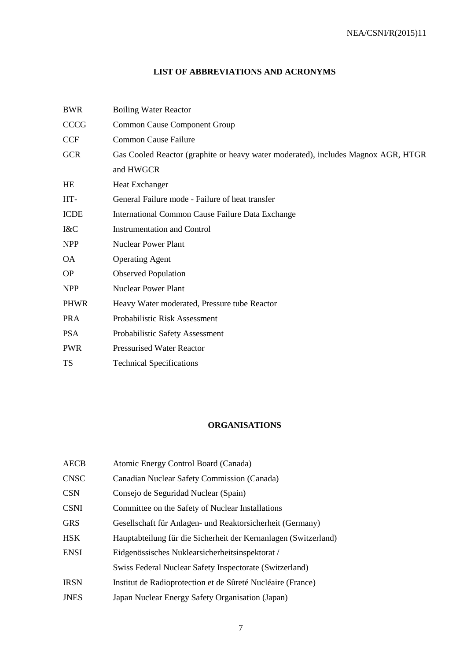### <span id="page-7-0"></span>**LIST OF ABBREVIATIONS AND ACRONYMS**

| <b>BWR</b>  | <b>Boiling Water Reactor</b>                                                      |
|-------------|-----------------------------------------------------------------------------------|
| <b>CCCG</b> | <b>Common Cause Component Group</b>                                               |
| <b>CCF</b>  | <b>Common Cause Failure</b>                                                       |
| <b>GCR</b>  | Gas Cooled Reactor (graphite or heavy water moderated), includes Magnox AGR, HTGR |
|             | and HWGCR                                                                         |
| HE          | Heat Exchanger                                                                    |
| HT-         | General Failure mode - Failure of heat transfer                                   |
| <b>ICDE</b> | International Common Cause Failure Data Exchange                                  |
| I&C         | <b>Instrumentation and Control</b>                                                |
| <b>NPP</b>  | <b>Nuclear Power Plant</b>                                                        |
| <b>OA</b>   | <b>Operating Agent</b>                                                            |
| <b>OP</b>   | <b>Observed Population</b>                                                        |
| <b>NPP</b>  | <b>Nuclear Power Plant</b>                                                        |
| <b>PHWR</b> | Heavy Water moderated, Pressure tube Reactor                                      |
| <b>PRA</b>  | Probabilistic Risk Assessment                                                     |
| <b>PSA</b>  | Probabilistic Safety Assessment                                                   |
| <b>PWR</b>  | <b>Pressurised Water Reactor</b>                                                  |
| <b>TS</b>   | <b>Technical Specifications</b>                                                   |

### <span id="page-7-1"></span>**ORGANISATIONS**

| <b>AECB</b> | Atomic Energy Control Board (Canada)                            |
|-------------|-----------------------------------------------------------------|
| <b>CNSC</b> | Canadian Nuclear Safety Commission (Canada)                     |
| <b>CSN</b>  | Consejo de Seguridad Nuclear (Spain)                            |
| <b>CSNI</b> | Committee on the Safety of Nuclear Installations                |
| <b>GRS</b>  | Gesellschaft für Anlagen- und Reaktorsicherheit (Germany)       |
| <b>HSK</b>  | Hauptabteilung für die Sicherheit der Kernanlagen (Switzerland) |
| <b>ENSI</b> | Eidgenössisches Nuklearsicherheitsinspektorat /                 |
|             | Swiss Federal Nuclear Safety Inspectorate (Switzerland)         |
| <b>IRSN</b> | Institut de Radioprotection et de Sûreté Nucléaire (France)     |
| <b>JNES</b> | Japan Nuclear Energy Safety Organisation (Japan)                |
|             |                                                                 |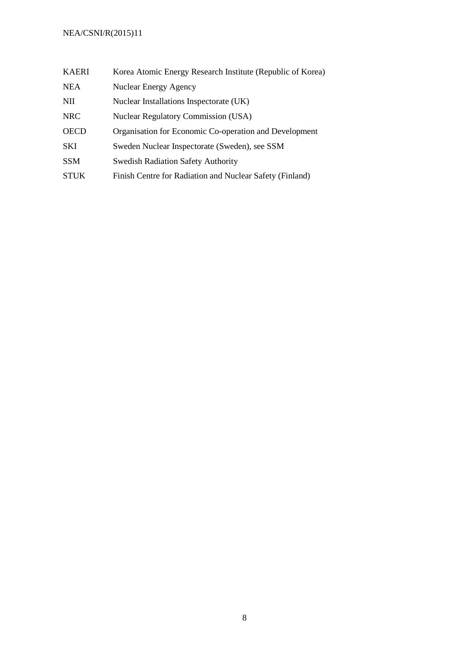| <b>KAERI</b> | Korea Atomic Energy Research Institute (Republic of Korea) |
|--------------|------------------------------------------------------------|
| <b>NEA</b>   | Nuclear Energy Agency                                      |
| NII          | Nuclear Installations Inspectorate (UK)                    |
| <b>NRC</b>   | <b>Nuclear Regulatory Commission (USA)</b>                 |
| <b>OECD</b>  | Organisation for Economic Co-operation and Development     |
| <b>SKI</b>   | Sweden Nuclear Inspectorate (Sweden), see SSM              |
| <b>SSM</b>   | <b>Swedish Radiation Safety Authority</b>                  |
| <b>STUK</b>  | Finish Centre for Radiation and Nuclear Safety (Finland)   |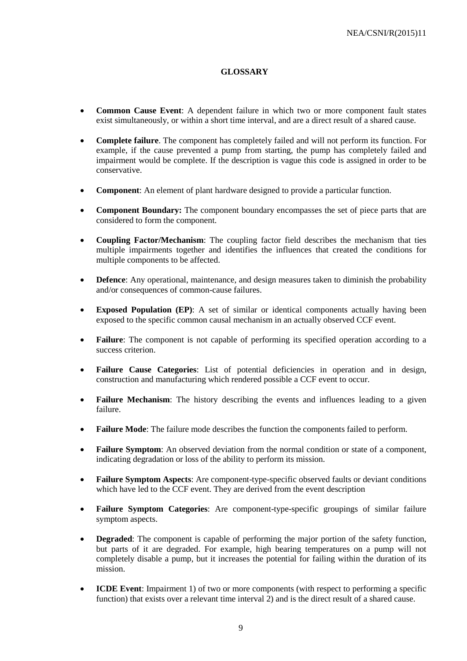### **GLOSSARY**

- <span id="page-9-0"></span>• **Common Cause Event**: A dependent failure in which two or more component fault states exist simultaneously, or within a short time interval, and are a direct result of a shared cause.
- **Complete failure**. The component has completely failed and will not perform its function. For example, if the cause prevented a pump from starting, the pump has completely failed and impairment would be complete. If the description is vague this code is assigned in order to be conservative.
- **Component**: An element of plant hardware designed to provide a particular function.
- **Component Boundary:** The component boundary encompasses the set of piece parts that are considered to form the component.
- **Coupling Factor/Mechanism**: The coupling factor field describes the mechanism that ties multiple impairments together and identifies the influences that created the conditions for multiple components to be affected.
- **Defence**: Any operational, maintenance, and design measures taken to diminish the probability and/or consequences of common-cause failures.
- **Exposed Population (EP)**: A set of similar or identical components actually having been exposed to the specific common causal mechanism in an actually observed CCF event.
- **Failure**: The component is not capable of performing its specified operation according to a success criterion.
- **Failure Cause Categories**: List of potential deficiencies in operation and in design, construction and manufacturing which rendered possible a CCF event to occur.
- **Failure Mechanism**: The history describing the events and influences leading to a given failure.
- **Failure Mode**: The failure mode describes the function the components failed to perform.
- **Failure Symptom**: An observed deviation from the normal condition or state of a component, indicating degradation or loss of the ability to perform its mission.
- **Failure Symptom Aspects**: Are component-type-specific observed faults or deviant conditions which have led to the CCF event. They are derived from the event description
- **Failure Symptom Categories**: Are component-type-specific groupings of similar failure symptom aspects.
- **Degraded:** The component is capable of performing the major portion of the safety function, but parts of it are degraded. For example, high bearing temperatures on a pump will not completely disable a pump, but it increases the potential for failing within the duration of its mission.
- **ICDE Event:** Impairment 1) of two or more components (with respect to performing a specific function) that exists over a relevant time interval 2) and is the direct result of a shared cause.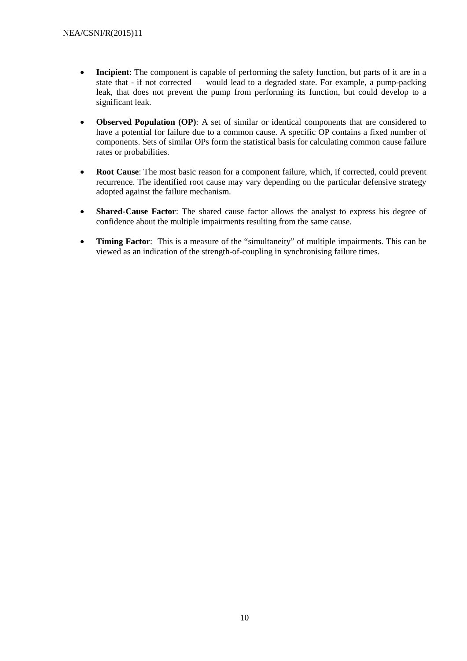- **Incipient**: The component is capable of performing the safety function, but parts of it are in a state that - if not corrected — would lead to a degraded state. For example, a pump-packing leak, that does not prevent the pump from performing its function, but could develop to a significant leak.
- **Observed Population (OP):** A set of similar or identical components that are considered to have a potential for failure due to a common cause. A specific OP contains a fixed number of components. Sets of similar OPs form the statistical basis for calculating common cause failure rates or probabilities.
- **Root Cause**: The most basic reason for a component failure, which, if corrected, could prevent recurrence. The identified root cause may vary depending on the particular defensive strategy adopted against the failure mechanism.
- **Shared-Cause Factor**: The shared cause factor allows the analyst to express his degree of confidence about the multiple impairments resulting from the same cause.
- **Timing Factor**: This is a measure of the "simultaneity" of multiple impairments. This can be viewed as an indication of the strength-of-coupling in synchronising failure times.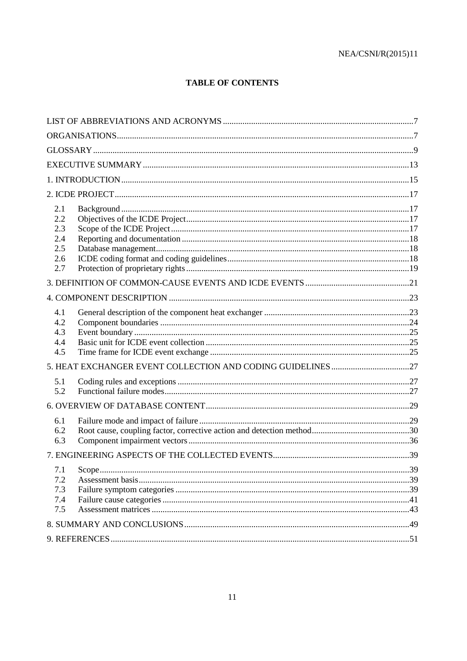### **TABLE OF CONTENTS**

| 2.1<br>2.2<br>2.3<br>2.4<br>2.5<br>2.6<br>2.7 |  |
|-----------------------------------------------|--|
|                                               |  |
|                                               |  |
| 4.1<br>4.2<br>4.3<br>4.4<br>4.5               |  |
|                                               |  |
| 5.1<br>5.2                                    |  |
|                                               |  |
| 6.1<br>6.2<br>6.3                             |  |
|                                               |  |
| 7.2<br>7.3<br>7.4<br>7.5                      |  |
|                                               |  |
|                                               |  |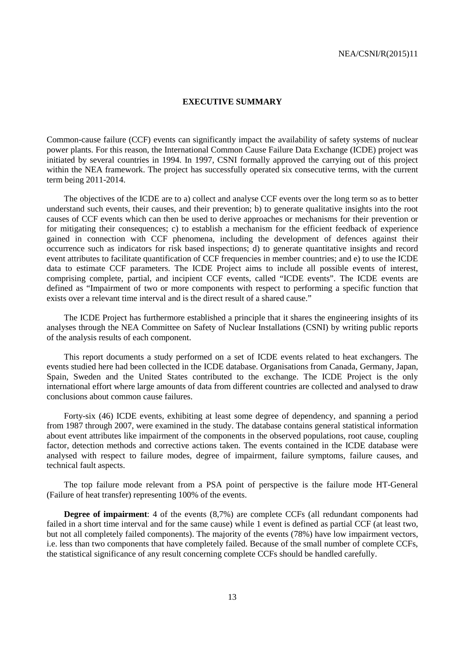#### **EXECUTIVE SUMMARY**

<span id="page-13-0"></span>Common-cause failure (CCF) events can significantly impact the availability of safety systems of nuclear power plants. For this reason, the International Common Cause Failure Data Exchange (ICDE) project was initiated by several countries in 1994. In 1997, CSNI formally approved the carrying out of this project within the NEA framework. The project has successfully operated six consecutive terms, with the current term being 2011-2014.

The objectives of the ICDE are to a) collect and analyse CCF events over the long term so as to better understand such events, their causes, and their prevention; b) to generate qualitative insights into the root causes of CCF events which can then be used to derive approaches or mechanisms for their prevention or for mitigating their consequences; c) to establish a mechanism for the efficient feedback of experience gained in connection with CCF phenomena, including the development of defences against their occurrence such as indicators for risk based inspections; d) to generate quantitative insights and record event attributes to facilitate quantification of CCF frequencies in member countries; and e) to use the ICDE data to estimate CCF parameters. The ICDE Project aims to include all possible events of interest, comprising complete, partial, and incipient CCF events, called "ICDE events". The ICDE events are defined as "Impairment of two or more components with respect to performing a specific function that exists over a relevant time interval and is the direct result of a shared cause."

The ICDE Project has furthermore established a principle that it shares the engineering insights of its analyses through the NEA Committee on Safety of Nuclear Installations (CSNI) by writing public reports of the analysis results of each component.

This report documents a study performed on a set of ICDE events related to heat exchangers. The events studied here had been collected in the ICDE database. Organisations from Canada, Germany, Japan, Spain, Sweden and the United States contributed to the exchange. The ICDE Project is the only international effort where large amounts of data from different countries are collected and analysed to draw conclusions about common cause failures.

Forty-six (46) ICDE events, exhibiting at least some degree of dependency, and spanning a period from 1987 through 2007, were examined in the study. The database contains general statistical information about event attributes like impairment of the components in the observed populations, root cause, coupling factor, detection methods and corrective actions taken. The events contained in the ICDE database were analysed with respect to failure modes, degree of impairment, failure symptoms, failure causes, and technical fault aspects.

The top failure mode relevant from a PSA point of perspective is the failure mode HT-General (Failure of heat transfer) representing 100% of the events.

**Degree of impairment**: 4 of the events  $(8,7%)$  are complete CCFs (all redundant components had failed in a short time interval and for the same cause) while 1 event is defined as partial CCF (at least two, but not all completely failed components). The majority of the events (78%) have low impairment vectors, i.e. less than two components that have completely failed. Because of the small number of complete CCFs, the statistical significance of any result concerning complete CCFs should be handled carefully.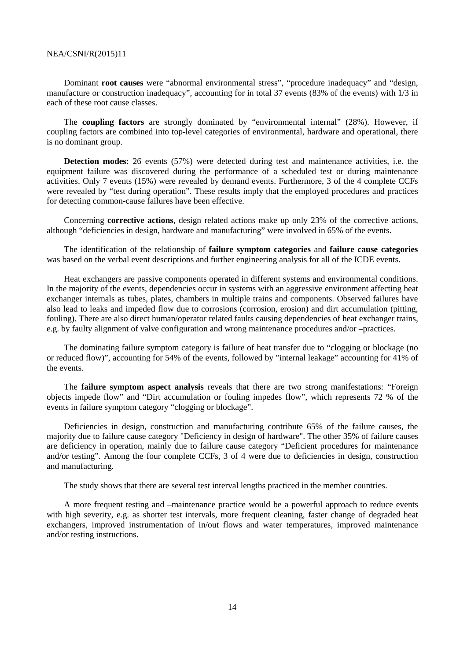Dominant **root causes** were "abnormal environmental stress", "procedure inadequacy" and "design, manufacture or construction inadequacy", accounting for in total 37 events (83% of the events) with 1/3 in each of these root cause classes.

The **coupling factors** are strongly dominated by "environmental internal" (28%). However, if coupling factors are combined into top-level categories of environmental, hardware and operational, there is no dominant group.

**Detection modes**: 26 events (57%) were detected during test and maintenance activities, i.e. the equipment failure was discovered during the performance of a scheduled test or during maintenance activities. Only 7 events (15%) were revealed by demand events. Furthermore, 3 of the 4 complete CCFs were revealed by "test during operation". These results imply that the employed procedures and practices for detecting common-cause failures have been effective.

Concerning **corrective actions**, design related actions make up only 23% of the corrective actions, although "deficiencies in design, hardware and manufacturing" were involved in 65% of the events.

The identification of the relationship of **failure symptom categories** and **failure cause categories** was based on the verbal event descriptions and further engineering analysis for all of the ICDE events.

Heat exchangers are passive components operated in different systems and environmental conditions. In the majority of the events, dependencies occur in systems with an aggressive environment affecting heat exchanger internals as tubes, plates, chambers in multiple trains and components. Observed failures have also lead to leaks and impeded flow due to corrosions (corrosion, erosion) and dirt accumulation (pitting, fouling). There are also direct human/operator related faults causing dependencies of heat exchanger trains, e.g. by faulty alignment of valve configuration and wrong maintenance procedures and/or –practices.

The dominating failure symptom category is failure of heat transfer due to "clogging or blockage (no or reduced flow)", accounting for 54% of the events, followed by "internal leakage" accounting for 41% of the events.

The **failure symptom aspect analysis** reveals that there are two strong manifestations: "Foreign objects impede flow" and "Dirt accumulation or fouling impedes flow", which represents 72 % of the events in failure symptom category "clogging or blockage".

Deficiencies in design, construction and manufacturing contribute 65% of the failure causes, the majority due to failure cause category "Deficiency in design of hardware". The other 35% of failure causes are deficiency in operation, mainly due to failure cause category "Deficient procedures for maintenance and/or testing". Among the four complete CCFs, 3 of 4 were due to deficiencies in design, construction and manufacturing.

The study shows that there are several test interval lengths practiced in the member countries.

A more frequent testing and –maintenance practice would be a powerful approach to reduce events with high severity, e.g. as shorter test intervals, more frequent cleaning, faster change of degraded heat exchangers, improved instrumentation of in/out flows and water temperatures, improved maintenance and/or testing instructions.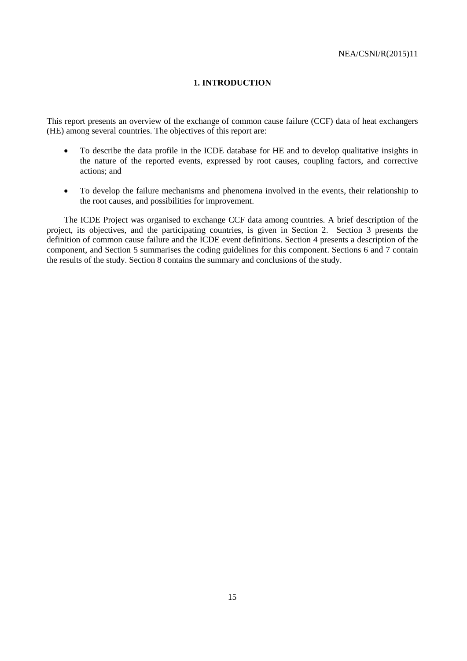### **1. INTRODUCTION**

<span id="page-15-0"></span>This report presents an overview of the exchange of common cause failure (CCF) data of heat exchangers (HE) among several countries. The objectives of this report are:

- To describe the data profile in the ICDE database for HE and to develop qualitative insights in the nature of the reported events, expressed by root causes, coupling factors, and corrective actions; and
- To develop the failure mechanisms and phenomena involved in the events, their relationship to the root causes, and possibilities for improvement.

The ICDE Project was organised to exchange CCF data among countries. A brief description of the project, its objectives, and the participating countries, is given in Section 2. Section 3 presents the definition of common cause failure and the ICDE event definitions. Section 4 presents a description of the component, and Section 5 summarises the coding guidelines for this component. Sections 6 and 7 contain the results of the study. Section 8 contains the summary and conclusions of the study.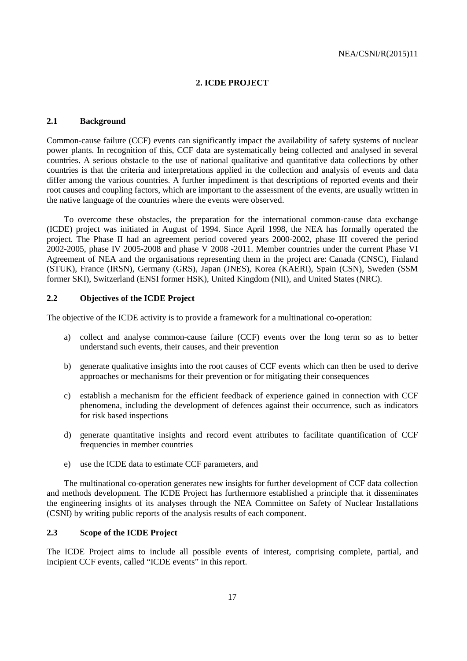### **2. ICDE PROJECT**

#### <span id="page-17-1"></span><span id="page-17-0"></span>**2.1 Background**

Common-cause failure (CCF) events can significantly impact the availability of safety systems of nuclear power plants. In recognition of this, CCF data are systematically being collected and analysed in several countries. A serious obstacle to the use of national qualitative and quantitative data collections by other countries is that the criteria and interpretations applied in the collection and analysis of events and data differ among the various countries. A further impediment is that descriptions of reported events and their root causes and coupling factors, which are important to the assessment of the events, are usually written in the native language of the countries where the events were observed.

To overcome these obstacles, the preparation for the international common-cause data exchange (ICDE) project was initiated in August of 1994. Since April 1998, the NEA has formally operated the project. The Phase II had an agreement period covered years 2000-2002, phase III covered the period 2002-2005, phase IV 2005-2008 and phase V 2008 -2011. Member countries under the current Phase VI Agreement of NEA and the organisations representing them in the project are: Canada (CNSC), Finland (STUK), France (IRSN), Germany (GRS), Japan (JNES), Korea (KAERI), Spain (CSN), Sweden (SSM former SKI), Switzerland (ENSI former HSK), United Kingdom (NII), and United States (NRC).

#### <span id="page-17-2"></span>**2.2 Objectives of the ICDE Project**

The objective of the ICDE activity is to provide a framework for a multinational co-operation:

- a) collect and analyse common-cause failure (CCF) events over the long term so as to better understand such events, their causes, and their prevention
- b) generate qualitative insights into the root causes of CCF events which can then be used to derive approaches or mechanisms for their prevention or for mitigating their consequences
- c) establish a mechanism for the efficient feedback of experience gained in connection with CCF phenomena, including the development of defences against their occurrence, such as indicators for risk based inspections
- d) generate quantitative insights and record event attributes to facilitate quantification of CCF frequencies in member countries
- e) use the ICDE data to estimate CCF parameters, and

The multinational co-operation generates new insights for further development of CCF data collection and methods development. The ICDE Project has furthermore established a principle that it disseminates the engineering insights of its analyses through the NEA Committee on Safety of Nuclear Installations (CSNI) by writing public reports of the analysis results of each component.

### <span id="page-17-3"></span>**2.3 Scope of the ICDE Project**

The ICDE Project aims to include all possible events of interest, comprising complete, partial, and incipient CCF events, called "ICDE events" in this report.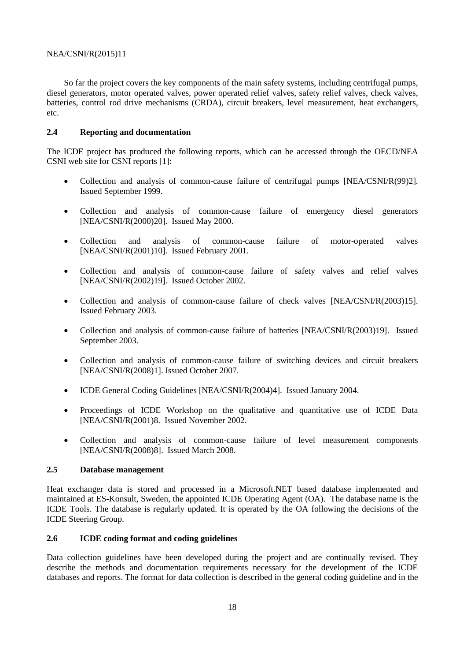So far the project covers the key components of the main safety systems, including centrifugal pumps, diesel generators, motor operated valves, power operated relief valves, safety relief valves, check valves, batteries, control rod drive mechanisms (CRDA), circuit breakers, level measurement, heat exchangers, etc.

### <span id="page-18-0"></span>**2.4 Reporting and documentation**

The ICDE project has produced the following reports, which can be accessed through the OECD/NEA CSNI web site for CSNI reports [1]:

- Collection and analysis of common-cause failure of centrifugal pumps [NEA/CSNI/R(99)2]. Issued September 1999.
- Collection and analysis of common-cause failure of emergency diesel generators [NEA/CSNI/R(2000)20]. Issued May 2000.
- Collection and analysis of common-cause failure of motor-operated valves [NEA/CSNI/R(2001)10]. Issued February 2001.
- Collection and analysis of common-cause failure of safety valves and relief valves [NEA/CSNI/R(2002)19]. Issued October 2002.
- Collection and analysis of common-cause failure of check valves [NEA/CSNI/R(2003)15]. Issued February 2003.
- Collection and analysis of common-cause failure of batteries [NEA/CSNI/R(2003)19]. Issued September 2003.
- Collection and analysis of common-cause failure of switching devices and circuit breakers [NEA/CSNI/R(2008)1]. Issued October 2007.
- ICDE General Coding Guidelines [NEA/CSNI/R(2004)4]. Issued January 2004.
- Proceedings of ICDE Workshop on the qualitative and quantitative use of ICDE Data [NEA/CSNI/R(2001)8. Issued November 2002.
- Collection and analysis of common-cause failure of level measurement components [NEA/CSNI/R(2008)8]. Issued March 2008.

### <span id="page-18-1"></span>**2.5 Database management**

Heat exchanger data is stored and processed in a Microsoft.NET based database implemented and maintained at ES-Konsult, Sweden, the appointed ICDE Operating Agent (OA). The database name is the ICDE Tools. The database is regularly updated. It is operated by the OA following the decisions of the ICDE Steering Group.

### <span id="page-18-2"></span>**2.6 ICDE coding format and coding guidelines**

Data collection guidelines have been developed during the project and are continually revised. They describe the methods and documentation requirements necessary for the development of the ICDE databases and reports. The format for data collection is described in the general coding guideline and in the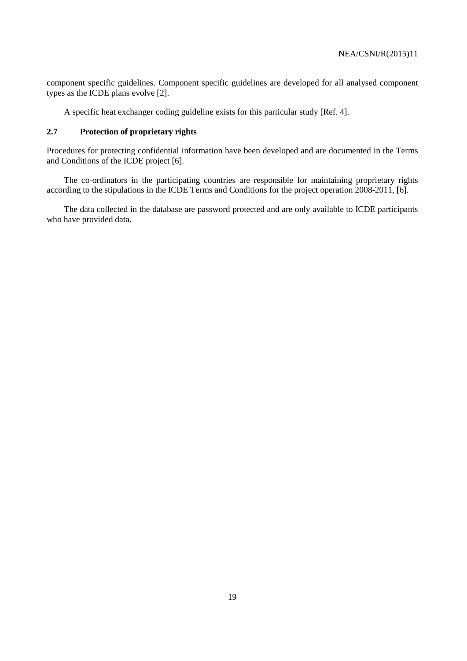component specific guidelines. Component specific guidelines are developed for all analysed component types as the ICDE plans evolve [2].

A specific heat exchanger coding guideline exists for this particular study [Ref. 4].

### <span id="page-19-0"></span>**2.7 Protection of proprietary rights**

Procedures for protecting confidential information have been developed and are documented in the Terms and Conditions of the ICDE project [6].

The co-ordinators in the participating countries are responsible for maintaining proprietary rights according to the stipulations in the ICDE Terms and Conditions for the project operation 2008-2011, [6].

The data collected in the database are password protected and are only available to ICDE participants who have provided data.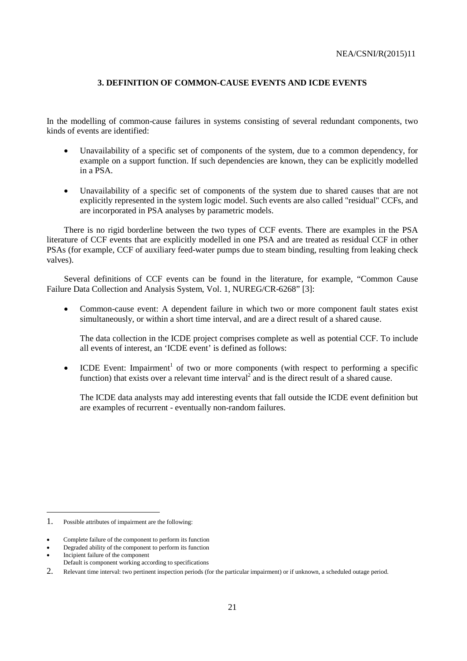### **3. DEFINITION OF COMMON-CAUSE EVENTS AND ICDE EVENTS**

<span id="page-21-0"></span>In the modelling of common-cause failures in systems consisting of several redundant components, two kinds of events are identified:

- Unavailability of a specific set of components of the system, due to a common dependency, for example on a support function. If such dependencies are known, they can be explicitly modelled in a PSA.
- Unavailability of a specific set of components of the system due to shared causes that are not explicitly represented in the system logic model. Such events are also called "residual" CCFs, and are incorporated in PSA analyses by parametric models.

There is no rigid borderline between the two types of CCF events. There are examples in the PSA literature of CCF events that are explicitly modelled in one PSA and are treated as residual CCF in other PSAs (for example, CCF of auxiliary feed-water pumps due to steam binding, resulting from leaking check valves).

Several definitions of CCF events can be found in the literature, for example, "Common Cause Failure Data Collection and Analysis System, Vol. 1, NUREG/CR-6268" [3]:

• Common-cause event: A dependent failure in which two or more component fault states exist simultaneously, or within a short time interval, and are a direct result of a shared cause.

The data collection in the ICDE project comprises complete as well as potential CCF. To include all events of interest, an 'ICDE event' is defined as follows:

• ICDE Event: Impairment<sup>1</sup> of two or more components (with respect to performing a specific function) that exists over a relevant time interval<sup>2</sup> and is the direct result of a shared cause.

The ICDE data analysts may add interesting events that fall outside the ICDE event definition but are examples of recurrent - eventually non-random failures.

 $\overline{a}$ 

<sup>1.</sup> Possible attributes of impairment are the following:

<sup>•</sup> Complete failure of the component to perform its function

<sup>•</sup> Degraded ability of the component to perform its function

<sup>•</sup> Incipient failure of the component

Default is component working according to specifications

<sup>2.</sup> Relevant time interval: two pertinent inspection periods (for the particular impairment) or if unknown, a scheduled outage period.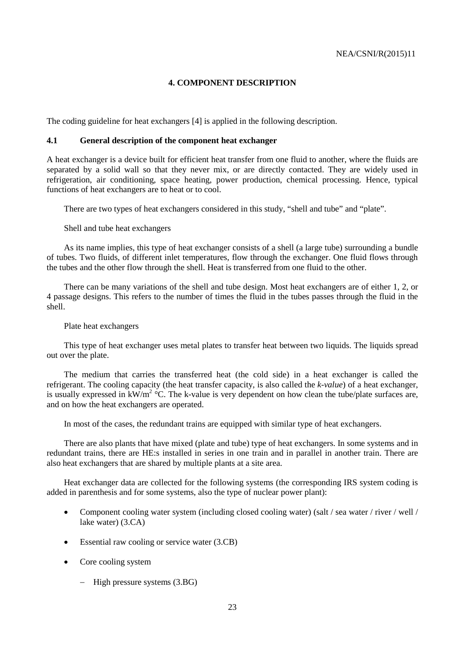### **4. COMPONENT DESCRIPTION**

<span id="page-23-0"></span>The coding guideline for heat exchangers [4] is applied in the following description.

#### <span id="page-23-1"></span>**4.1 General description of the component heat exchanger**

A heat exchanger is a device built for efficient heat transfer from one fluid to another, where the fluids are separated by a solid wall so that they never mix, or are directly contacted. They are widely used in refrigeration, air conditioning, space heating, power production, chemical processing. Hence, typical functions of heat exchangers are to heat or to cool.

There are two types of heat exchangers considered in this study, "shell and tube" and "plate".

Shell and tube heat exchangers

As its name implies, this type of heat exchanger consists of a shell (a large tube) surrounding a bundle of tubes. Two fluids, of different inlet temperatures, flow through the exchanger. One fluid flows through the tubes and the other flow through the shell. Heat is transferred from one fluid to the other.

There can be many variations of the shell and tube design. Most heat exchangers are of either 1, 2, or 4 passage designs. This refers to the number of times the fluid in the tubes passes through the fluid in the shell.

#### Plate heat exchangers

This type of heat exchanger uses metal plates to transfer heat between two liquids. The liquids spread out over the plate.

The medium that carries the transferred heat (the cold side) in a heat exchanger is called the refrigerant. The cooling capacity (the heat transfer capacity, is also called the *k-value*) of a heat exchanger, is usually expressed in  $kW/m^2$  °C. The k-value is very dependent on how clean the tube/plate surfaces are, and on how the heat exchangers are operated.

In most of the cases, the redundant trains are equipped with similar type of heat exchangers.

There are also plants that have mixed (plate and tube) type of heat exchangers. In some systems and in redundant trains, there are HE:s installed in series in one train and in parallel in another train. There are also heat exchangers that are shared by multiple plants at a site area.

Heat exchanger data are collected for the following systems (the corresponding IRS system coding is added in parenthesis and for some systems, also the type of nuclear power plant):

- Component cooling water system (including closed cooling water) (salt / sea water / river / well / lake water) (3.CA)
- Essential raw cooling or service water (3.CB)
- Core cooling system
	- − High pressure systems (3.BG)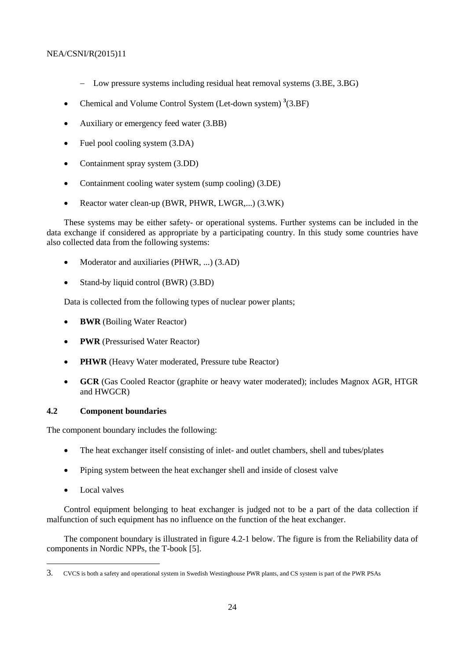- − Low pressure systems including residual heat removal systems (3.BE, 3.BG)
- Chemical and Volume Control System (Let-down system)<sup>3</sup>(3.BF)
- Auxiliary or emergency feed water (3.BB)
- Fuel pool cooling system  $(3,DA)$
- Containment spray system (3.DD)
- Containment cooling water system (sump cooling) (3.DE)
- Reactor water clean-up (BWR, PHWR, LWGR,...) (3.WK)

These systems may be either safety- or operational systems. Further systems can be included in the data exchange if considered as appropriate by a participating country. In this study some countries have also collected data from the following systems:

- Moderator and auxiliaries (PHWR, ...) (3.AD)
- Stand-by liquid control (BWR) (3.BD)

Data is collected from the following types of nuclear power plants;

- **BWR** (Boiling Water Reactor)
- **PWR** (Pressurised Water Reactor)
- **PHWR** (Heavy Water moderated, Pressure tube Reactor)
- **GCR** (Gas Cooled Reactor (graphite or heavy water moderated); includes Magnox AGR, HTGR and HWGCR)

### <span id="page-24-0"></span>**4.2 Component boundaries**

The component boundary includes the following:

- The heat exchanger itself consisting of inlet- and outlet chambers, shell and tubes/plates
- Piping system between the heat exchanger shell and inside of closest valve
- Local valves

 $\overline{a}$ 

Control equipment belonging to heat exchanger is judged not to be a part of the data collection if malfunction of such equipment has no influence on the function of the heat exchanger.

The component boundary is illustrated in figure 4.2-1 below. The figure is from the Reliability data of components in Nordic NPPs, the T-book [5].

<sup>3.</sup> CVCS is both a safety and operational system in Swedish Westinghouse PWR plants, and CS system is part of the PWR PSAs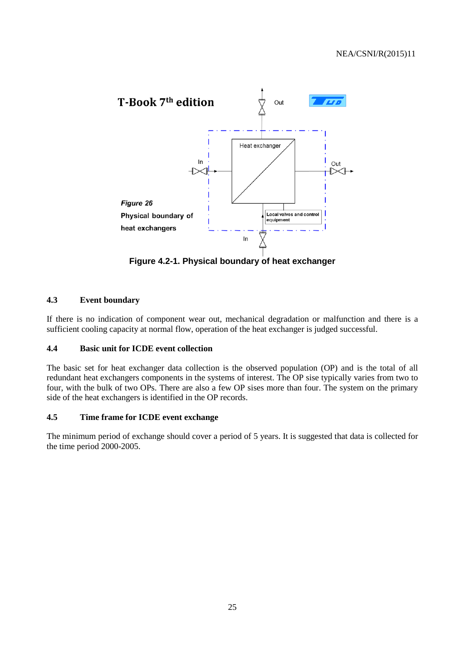

**Figure 4.2-1. Physical boundary of heat exchanger**

### <span id="page-25-0"></span>**4.3 Event boundary**

If there is no indication of component wear out, mechanical degradation or malfunction and there is a sufficient cooling capacity at normal flow, operation of the heat exchanger is judged successful.

### <span id="page-25-1"></span>**4.4 Basic unit for ICDE event collection**

The basic set for heat exchanger data collection is the observed population (OP) and is the total of all redundant heat exchangers components in the systems of interest. The OP sise typically varies from two to four, with the bulk of two OPs. There are also a few OP sises more than four. The system on the primary side of the heat exchangers is identified in the OP records.

### <span id="page-25-2"></span>**4.5 Time frame for ICDE event exchange**

The minimum period of exchange should cover a period of 5 years. It is suggested that data is collected for the time period 2000-2005.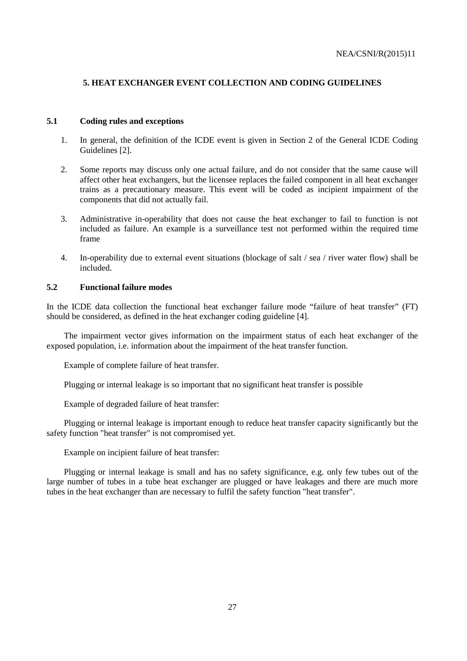### <span id="page-27-0"></span>**5. HEAT EXCHANGER EVENT COLLECTION AND CODING GUIDELINES**

### <span id="page-27-1"></span>**5.1 Coding rules and exceptions**

- 1. In general, the definition of the ICDE event is given in Section 2 of the General ICDE Coding Guidelines [2].
- 2. Some reports may discuss only one actual failure, and do not consider that the same cause will affect other heat exchangers, but the licensee replaces the failed component in all heat exchanger trains as a precautionary measure. This event will be coded as incipient impairment of the components that did not actually fail.
- 3. Administrative in-operability that does not cause the heat exchanger to fail to function is not included as failure. An example is a surveillance test not performed within the required time frame
- 4. In-operability due to external event situations (blockage of salt / sea / river water flow) shall be included.

### <span id="page-27-2"></span>**5.2 Functional failure modes**

In the ICDE data collection the functional heat exchanger failure mode "failure of heat transfer" (FT) should be considered, as defined in the heat exchanger coding guideline [4].

The impairment vector gives information on the impairment status of each heat exchanger of the exposed population, i.e. information about the impairment of the heat transfer function.

Example of complete failure of heat transfer.

Plugging or internal leakage is so important that no significant heat transfer is possible

Example of degraded failure of heat transfer:

Plugging or internal leakage is important enough to reduce heat transfer capacity significantly but the safety function "heat transfer" is not compromised yet.

Example on incipient failure of heat transfer:

Plugging or internal leakage is small and has no safety significance, e.g. only few tubes out of the large number of tubes in a tube heat exchanger are plugged or have leakages and there are much more tubes in the heat exchanger than are necessary to fulfil the safety function "heat transfer".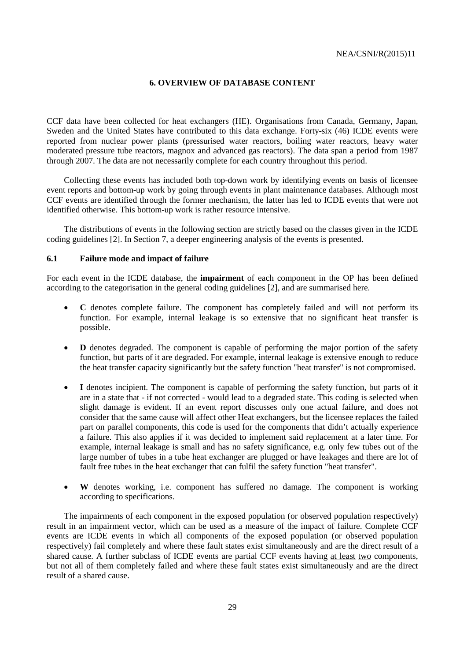### <span id="page-29-0"></span>**6. OVERVIEW OF DATABASE CONTENT**

CCF data have been collected for heat exchangers (HE). Organisations from Canada, Germany, Japan, Sweden and the United States have contributed to this data exchange. Forty-six (46) ICDE events were reported from nuclear power plants (pressurised water reactors, boiling water reactors, heavy water moderated pressure tube reactors, magnox and advanced gas reactors). The data span a period from 1987 through 2007. The data are not necessarily complete for each country throughout this period.

Collecting these events has included both top-down work by identifying events on basis of licensee event reports and bottom-up work by going through events in plant maintenance databases. Although most CCF events are identified through the former mechanism, the latter has led to ICDE events that were not identified otherwise. This bottom-up work is rather resource intensive.

The distributions of events in the following section are strictly based on the classes given in the ICDE coding guidelines [2]. In Section 7, a deeper engineering analysis of the events is presented.

### <span id="page-29-1"></span>**6.1 Failure mode and impact of failure**

For each event in the ICDE database, the **impairment** of each component in the OP has been defined according to the categorisation in the general coding guidelines [2], and are summarised here.

- **C** denotes complete failure. The component has completely failed and will not perform its function. For example, internal leakage is so extensive that no significant heat transfer is possible.
- **D** denotes degraded. The component is capable of performing the major portion of the safety function, but parts of it are degraded. For example, internal leakage is extensive enough to reduce the heat transfer capacity significantly but the safety function "heat transfer" is not compromised.
- **I** denotes incipient. The component is capable of performing the safety function, but parts of it are in a state that - if not corrected - would lead to a degraded state. This coding is selected when slight damage is evident. If an event report discusses only one actual failure, and does not consider that the same cause will affect other Heat exchangers, but the licensee replaces the failed part on parallel components, this code is used for the components that didn't actually experience a failure. This also applies if it was decided to implement said replacement at a later time. For example, internal leakage is small and has no safety significance, e.g. only few tubes out of the large number of tubes in a tube heat exchanger are plugged or have leakages and there are lot of fault free tubes in the heat exchanger that can fulfil the safety function "heat transfer".
- **W** denotes working, i.e. component has suffered no damage. The component is working according to specifications.

The impairments of each component in the exposed population (or observed population respectively) result in an impairment vector, which can be used as a measure of the impact of failure. Complete CCF events are ICDE events in which all components of the exposed population (or observed population respectively) fail completely and where these fault states exist simultaneously and are the direct result of a shared cause*.* A further subclass of ICDE events are partial CCF events having at least two components, but not all of them completely failed and where these fault states exist simultaneously and are the direct result of a shared cause.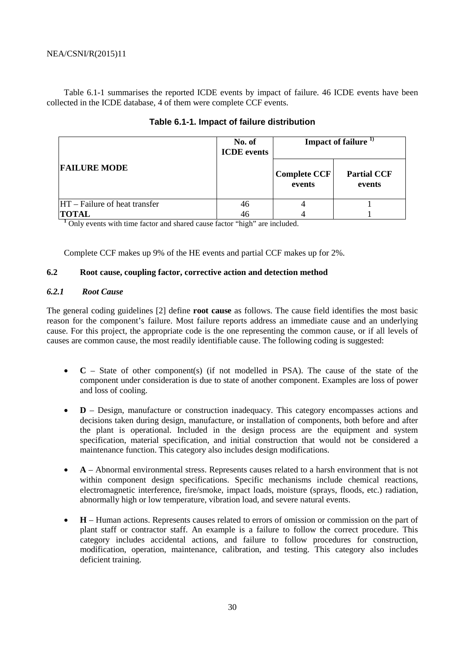Table 6.1-1 summarises the reported ICDE events by impact of failure. 46 ICDE events have been collected in the ICDE database, 4 of them were complete CCF events.

|                                 | No. of<br><b>ICDE</b> events |                               | Impact of failure <sup>1)</sup> |  |
|---------------------------------|------------------------------|-------------------------------|---------------------------------|--|
| <b>FAILURE MODE</b>             |                              | <b>Complete CCF</b><br>events | <b>Partial CCF</b><br>events    |  |
| $HT - Failure of heat transfer$ | 46                           |                               |                                 |  |
| <b>TOTAL</b>                    | 46                           |                               |                                 |  |

### **Table 6.1-1. Impact of failure distribution**

<sup>1</sup> Only events with time factor and shared cause factor "high" are included.

Complete CCF makes up 9% of the HE events and partial CCF makes up for 2%.

### <span id="page-30-0"></span>**6.2 Root cause, coupling factor, corrective action and detection method**

### *6.2.1 Root Cause*

The general coding guidelines [2] define **root cause** as follows. The cause field identifies the most basic reason for the component's failure. Most failure reports address an immediate cause and an underlying cause. For this project, the appropriate code is the one representing the common cause, or if all levels of causes are common cause, the most readily identifiable cause. The following coding is suggested:

- **C** State of other component(s) (if not modelled in PSA). The cause of the state of the component under consideration is due to state of another component. Examples are loss of power and loss of cooling.
- **D** Design, manufacture or construction inadequacy. This category encompasses actions and decisions taken during design, manufacture, or installation of components, both before and after the plant is operational. Included in the design process are the equipment and system specification, material specification, and initial construction that would not be considered a maintenance function. This category also includes design modifications.
- **A** Abnormal environmental stress. Represents causes related to a harsh environment that is not within component design specifications. Specific mechanisms include chemical reactions, electromagnetic interference, fire/smoke, impact loads, moisture (sprays, floods, etc.) radiation, abnormally high or low temperature, vibration load, and severe natural events.
- **H** Human actions. Represents causes related to errors of omission or commission on the part of plant staff or contractor staff. An example is a failure to follow the correct procedure. This category includes accidental actions, and failure to follow procedures for construction, modification, operation, maintenance, calibration, and testing. This category also includes deficient training.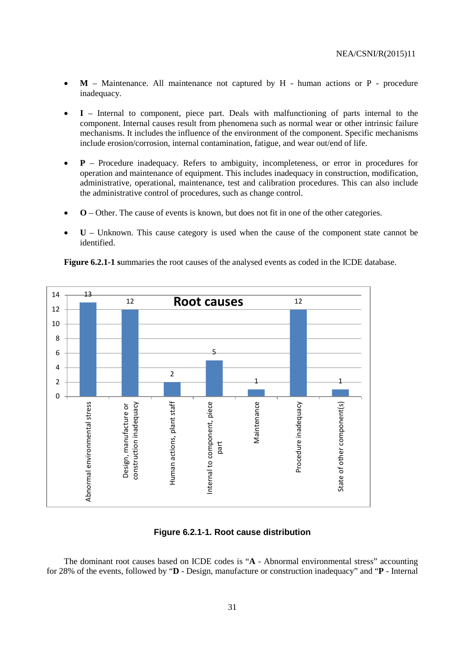- **M** Maintenance. All maintenance not captured by H human actions or P procedure inadequacy.
- **I**  Internal to component, piece part. Deals with malfunctioning of parts internal to the component. Internal causes result from phenomena such as normal wear or other intrinsic failure mechanisms. It includes the influence of the environment of the component. Specific mechanisms include erosion/corrosion, internal contamination, fatigue, and wear out/end of life.
- **P** Procedure inadequacy. Refers to ambiguity, incompleteness, or error in procedures for operation and maintenance of equipment. This includes inadequacy in construction, modification, administrative, operational, maintenance, test and calibration procedures. This can also include the administrative control of procedures, such as change control.
- **O** Other. The cause of events is known, but does not fit in one of the other categories.
- **U** Unknown. This cause category is used when the cause of the component state cannot be identified.

**Figure 6.2.1-1 s**ummaries the root causes of the analysed events as coded in the ICDE database.



**Figure 6.2.1-1. Root cause distribution**

The dominant root causes based on ICDE codes is "**A** - Abnormal environmental stress" accounting for 28% of the events, followed by "**D** - Design, manufacture or construction inadequacy" and "**P** - Internal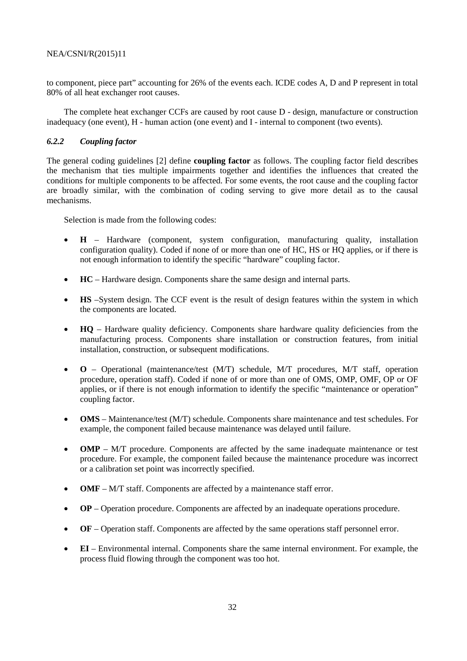to component, piece part" accounting for 26% of the events each. ICDE codes A, D and P represent in total 80% of all heat exchanger root causes.

The complete heat exchanger CCFs are caused by root cause D - design, manufacture or construction inadequacy (one event), H - human action (one event) and I - internal to component (two events).

### *6.2.2 Coupling factor*

The general coding guidelines [2] define **coupling factor** as follows. The coupling factor field describes the mechanism that ties multiple impairments together and identifies the influences that created the conditions for multiple components to be affected. For some events, the root cause and the coupling factor are broadly similar, with the combination of coding serving to give more detail as to the causal mechanisms.

Selection is made from the following codes:

- **H** Hardware (component, system configuration, manufacturing quality, installation configuration quality). Coded if none of or more than one of HC, HS or HQ applies, or if there is not enough information to identify the specific "hardware" coupling factor.
- **HC** Hardware design. Components share the same design and internal parts.
- **HS** –System design. The CCF event is the result of design features within the system in which the components are located.
- **HQ** Hardware quality deficiency. Components share hardware quality deficiencies from the manufacturing process. Components share installation or construction features, from initial installation, construction, or subsequent modifications.
- **O** Operational (maintenance/test (M/T) schedule, M/T procedures, M/T staff, operation procedure, operation staff). Coded if none of or more than one of OMS, OMP, OMF, OP or OF applies, or if there is not enough information to identify the specific "maintenance or operation" coupling factor.
- **OMS** Maintenance/test (M/T) schedule. Components share maintenance and test schedules. For example, the component failed because maintenance was delayed until failure.
- **OMP** M/T procedure. Components are affected by the same inadequate maintenance or test procedure. For example, the component failed because the maintenance procedure was incorrect or a calibration set point was incorrectly specified.
- **OMF** M/T staff. Components are affected by a maintenance staff error.
- **OP** Operation procedure. Components are affected by an inadequate operations procedure.
- **OF** Operation staff. Components are affected by the same operations staff personnel error.
- **EI** Environmental internal. Components share the same internal environment. For example, the process fluid flowing through the component was too hot.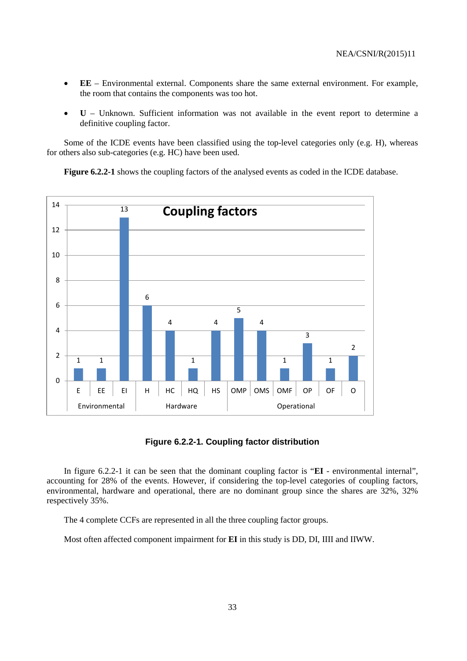- **EE** Environmental external. Components share the same external environment. For example, the room that contains the components was too hot.
- **U** Unknown. Sufficient information was not available in the event report to determine a definitive coupling factor.

Some of the ICDE events have been classified using the top-level categories only (e.g. H), whereas for others also sub-categories (e.g. HC) have been used.

**Figure 6.2.2-1** shows the coupling factors of the analysed events as coded in the ICDE database.



**Figure 6.2.2-1. Coupling factor distribution**

In figure 6.2.2-1 it can be seen that the dominant coupling factor is "**EI** - environmental internal", accounting for 28% of the events. However, if considering the top-level categories of coupling factors, environmental, hardware and operational, there are no dominant group since the shares are 32%, 32% respectively 35%.

The 4 complete CCFs are represented in all the three coupling factor groups.

Most often affected component impairment for **EI** in this study is DD, DI, IIII and IIWW.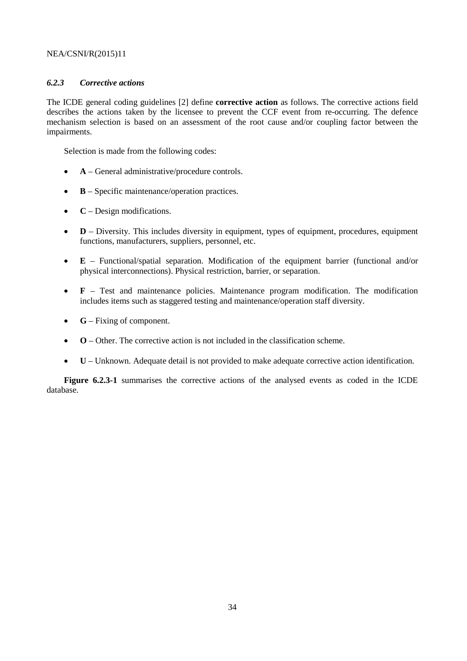### *6.2.3 Corrective actions*

The ICDE general coding guidelines [2] define **corrective action** as follows. The corrective actions field describes the actions taken by the licensee to prevent the CCF event from re-occurring. The defence mechanism selection is based on an assessment of the root cause and/or coupling factor between the impairments.

Selection is made from the following codes:

- **A** General administrative/procedure controls.
- **B** Specific maintenance/operation practices.
- **C** Design modifications.
- **D** Diversity. This includes diversity in equipment, types of equipment, procedures, equipment functions, manufacturers, suppliers, personnel, etc.
- **E** Functional/spatial separation. Modification of the equipment barrier (functional and/or physical interconnections). Physical restriction, barrier, or separation.
- **F**  Test and maintenance policies. Maintenance program modification. The modification includes items such as staggered testing and maintenance/operation staff diversity.
- $\bullet$  **G** Fixing of component.
- **O** Other. The corrective action is not included in the classification scheme.
- **U** Unknown. Adequate detail is not provided to make adequate corrective action identification.

**Figure 6.2.3-1** summarises the corrective actions of the analysed events as coded in the ICDE database.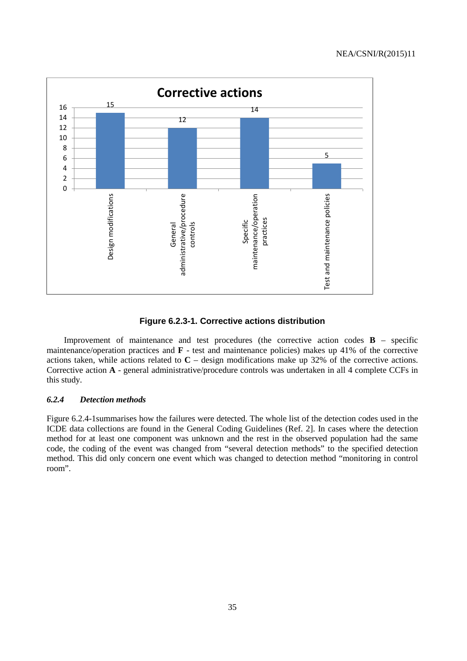

### **Figure 6.2.3-1. Corrective actions distribution**

Improvement of maintenance and test procedures (the corrective action codes **B** – specific maintenance/operation practices and **F** - test and maintenance policies) makes up 41% of the corrective actions taken, while actions related to **C** – design modifications make up 32% of the corrective actions. Corrective action **A** - general administrative/procedure controls was undertaken in all 4 complete CCFs in this study.

### *6.2.4 Detection methods*

Figure 6.2.4-1summarises how the failures were detected. The whole list of the detection codes used in the ICDE data collections are found in the General Coding Guidelines (Ref. 2]. In cases where the detection method for at least one component was unknown and the rest in the observed population had the same code, the coding of the event was changed from "several detection methods" to the specified detection method. This did only concern one event which was changed to detection method "monitoring in control room".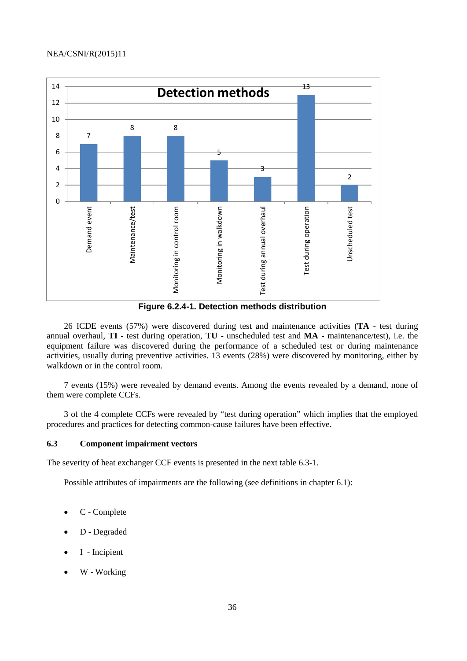

**Figure 6.2.4-1. Detection methods distribution**

26 ICDE events (57%) were discovered during test and maintenance activities (**TA** - test during annual overhaul, **TI** - test during operation, **TU** - unscheduled test and **MA** - maintenance/test), i.e. the equipment failure was discovered during the performance of a scheduled test or during maintenance activities, usually during preventive activities. 13 events (28%) were discovered by monitoring, either by walkdown or in the control room.

7 events (15%) were revealed by demand events. Among the events revealed by a demand, none of them were complete CCFs.

3 of the 4 complete CCFs were revealed by "test during operation" which implies that the employed procedures and practices for detecting common-cause failures have been effective.

### <span id="page-36-0"></span>**6.3 Component impairment vectors**

The severity of heat exchanger CCF events is presented in the next table 6.3-1.

Possible attributes of impairments are the following (see definitions in chapter 6.1):

- C Complete
- D Degraded
- I Incipient
- W Working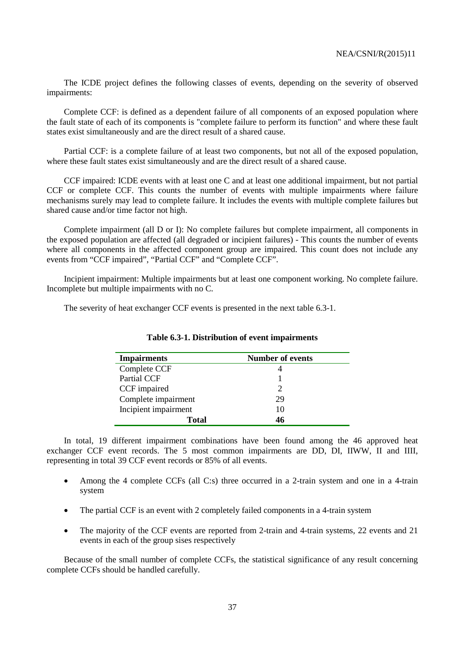The ICDE project defines the following classes of events, depending on the severity of observed impairments:

Complete CCF: is defined as a dependent failure of all components of an exposed population where the fault state of each of its components is "complete failure to perform its function" and where these fault states exist simultaneously and are the direct result of a shared cause.

Partial CCF: is a complete failure of at least two components, but not all of the exposed population, where these fault states exist simultaneously and are the direct result of a shared cause.

CCF impaired: ICDE events with at least one C and at least one additional impairment, but not partial CCF or complete CCF. This counts the number of events with multiple impairments where failure mechanisms surely may lead to complete failure. It includes the events with multiple complete failures but shared cause and/or time factor not high.

Complete impairment (all D or I): No complete failures but complete impairment, all components in the exposed population are affected (all degraded or incipient failures) - This counts the number of events where all components in the affected component group are impaired. This count does not include any events from "CCF impaired", "Partial CCF" and "Complete CCF".

Incipient impairment: Multiple impairments but at least one component working. No complete failure. Incomplete but multiple impairments with no C.

The severity of heat exchanger CCF events is presented in the next table 6.3-1.

| <b>Impairments</b>   | <b>Number of events</b> |
|----------------------|-------------------------|
| Complete CCF         |                         |
| <b>Partial CCF</b>   |                         |
| CCF impaired         |                         |
| Complete impairment  | 29                      |
| Incipient impairment | 10                      |
| <b>Total</b>         |                         |

**Table 6.3-1. Distribution of event impairments**

In total, 19 different impairment combinations have been found among the 46 approved heat exchanger CCF event records. The 5 most common impairments are DD, DI, IIWW, II and IIII, representing in total 39 CCF event records or 85% of all events.

- Among the 4 complete CCFs (all C:s) three occurred in a 2-train system and one in a 4-train system
- The partial CCF is an event with 2 completely failed components in a 4-train system
- The majority of the CCF events are reported from 2-train and 4-train systems, 22 events and 21 events in each of the group sises respectively

Because of the small number of complete CCFs, the statistical significance of any result concerning complete CCFs should be handled carefully.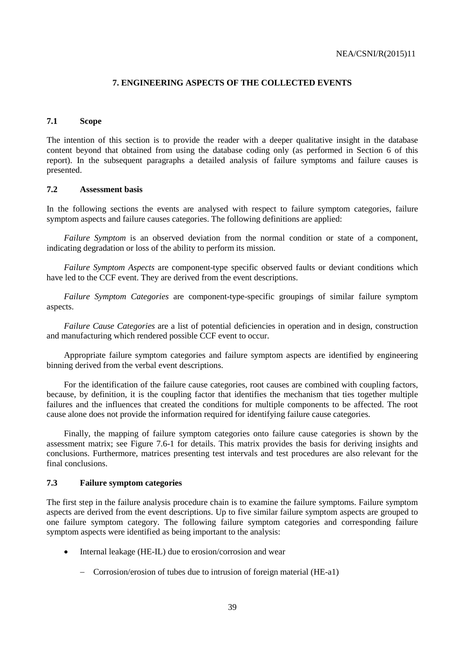### **7. ENGINEERING ASPECTS OF THE COLLECTED EVENTS**

#### <span id="page-39-1"></span><span id="page-39-0"></span>**7.1 Scope**

The intention of this section is to provide the reader with a deeper qualitative insight in the database content beyond that obtained from using the database coding only (as performed in Section 6 of this report). In the subsequent paragraphs a detailed analysis of failure symptoms and failure causes is presented.

### <span id="page-39-2"></span>**7.2 Assessment basis**

In the following sections the events are analysed with respect to failure symptom categories, failure symptom aspects and failure causes categories. The following definitions are applied:

*Failure Symptom* is an observed deviation from the normal condition or state of a component, indicating degradation or loss of the ability to perform its mission.

*Failure Symptom Aspects* are component-type specific observed faults or deviant conditions which have led to the CCF event. They are derived from the event descriptions.

*Failure Symptom Categories* are component-type-specific groupings of similar failure symptom aspects.

*Failure Cause Categories* are a list of potential deficiencies in operation and in design, construction and manufacturing which rendered possible CCF event to occur.

Appropriate failure symptom categories and failure symptom aspects are identified by engineering binning derived from the verbal event descriptions.

For the identification of the failure cause categories, root causes are combined with coupling factors, because, by definition, it is the coupling factor that identifies the mechanism that ties together multiple failures and the influences that created the conditions for multiple components to be affected. The root cause alone does not provide the information required for identifying failure cause categories.

Finally, the mapping of failure symptom categories onto failure cause categories is shown by the assessment matrix; see Figure 7.6-1 for details. This matrix provides the basis for deriving insights and conclusions. Furthermore, matrices presenting test intervals and test procedures are also relevant for the final conclusions.

#### <span id="page-39-3"></span>**7.3 Failure symptom categories**

The first step in the failure analysis procedure chain is to examine the failure symptoms. Failure symptom aspects are derived from the event descriptions. Up to five similar failure symptom aspects are grouped to one failure symptom category. The following failure symptom categories and corresponding failure symptom aspects were identified as being important to the analysis:

- Internal leakage (HE-IL) due to erosion/corrosion and wear
	- − Corrosion/erosion of tubes due to intrusion of foreign material (HE-a1)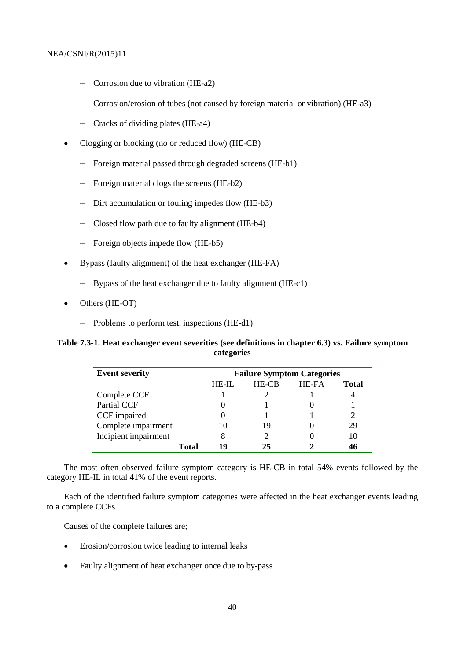- − Corrosion due to vibration (HE-a2)
- − Corrosion/erosion of tubes (not caused by foreign material or vibration) (HE-a3)
- − Cracks of dividing plates (HE-a4)
- Clogging or blocking (no or reduced flow) (HE-CB)
	- − Foreign material passed through degraded screens (HE-b1)
	- Foreign material clogs the screens (HE-b2)
	- − Dirt accumulation or fouling impedes flow (HE-b3)
	- − Closed flow path due to faulty alignment (HE-b4)
	- Foreign objects impede flow (HE-b5)
- Bypass (faulty alignment) of the heat exchanger (HE-FA)
	- − Bypass of the heat exchanger due to faulty alignment (HE-c1)
- Others (HE-OT)
	- − Problems to perform test, inspections (HE-d1)

**Table 7.3-1. Heat exchanger event severities (see definitions in chapter 6.3) vs. Failure symptom categories**

| <b>Event severity</b> | <b>Failure Symptom Categories</b> |          |         |       |              |
|-----------------------|-----------------------------------|----------|---------|-------|--------------|
|                       |                                   | $HE-II.$ | $HE-CB$ | HE-FA | <b>Total</b> |
| Complete CCF          |                                   |          |         |       |              |
| Partial CCF           |                                   |          |         |       |              |
| CCF impaired          |                                   |          |         |       |              |
| Complete impairment   |                                   | 10       | 19      |       | 29           |
| Incipient impairment  |                                   | 8        |         |       |              |
|                       | Total                             | 14       | 25      |       |              |

The most often observed failure symptom category is HE-CB in total 54% events followed by the category HE-IL in total 41% of the event reports.

Each of the identified failure symptom categories were affected in the heat exchanger events leading to a complete CCFs.

Causes of the complete failures are;

- Erosion/corrosion twice leading to internal leaks
- Faulty alignment of heat exchanger once due to by-pass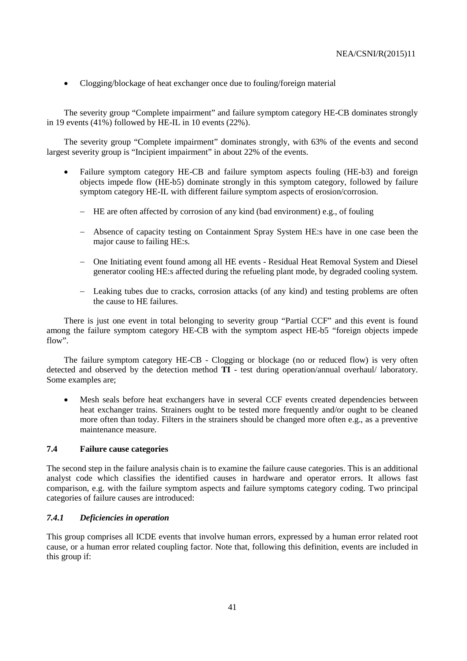• Clogging/blockage of heat exchanger once due to fouling/foreign material

The severity group "Complete impairment" and failure symptom category HE-CB dominates strongly in 19 events (41%) followed by HE-IL in 10 events (22%).

The severity group "Complete impairment" dominates strongly, with 63% of the events and second largest severity group is "Incipient impairment" in about 22% of the events.

- Failure symptom category HE-CB and failure symptom aspects fouling (HE-b3) and foreign objects impede flow (HE-b5) dominate strongly in this symptom category, followed by failure symptom category HE-IL with different failure symptom aspects of erosion/corrosion.
	- HE are often affected by corrosion of any kind (bad environment) e.g., of fouling
	- − Absence of capacity testing on Containment Spray System HE:s have in one case been the major cause to failing HE:s.
	- − One Initiating event found among all HE events Residual Heat Removal System and Diesel generator cooling HE:s affected during the refueling plant mode, by degraded cooling system.
	- Leaking tubes due to cracks, corrosion attacks (of any kind) and testing problems are often the cause to HE failures.

There is just one event in total belonging to severity group "Partial CCF" and this event is found among the failure symptom category HE-CB with the symptom aspect HE-b5 "foreign objects impede flow".

The failure symptom category HE-CB - Clogging or blockage (no or reduced flow) is very often detected and observed by the detection method **TI** - test during operation/annual overhaul/ laboratory. Some examples are;

• Mesh seals before heat exchangers have in several CCF events created dependencies between heat exchanger trains. Strainers ought to be tested more frequently and/or ought to be cleaned more often than today. Filters in the strainers should be changed more often e.g., as a preventive maintenance measure.

### <span id="page-41-0"></span>**7.4 Failure cause categories**

The second step in the failure analysis chain is to examine the failure cause categories. This is an additional analyst code which classifies the identified causes in hardware and operator errors. It allows fast comparison, e.g. with the failure symptom aspects and failure symptoms category coding. Two principal categories of failure causes are introduced:

### *7.4.1 Deficiencies in operation*

This group comprises all ICDE events that involve human errors, expressed by a human error related root cause, or a human error related coupling factor. Note that, following this definition, events are included in this group if: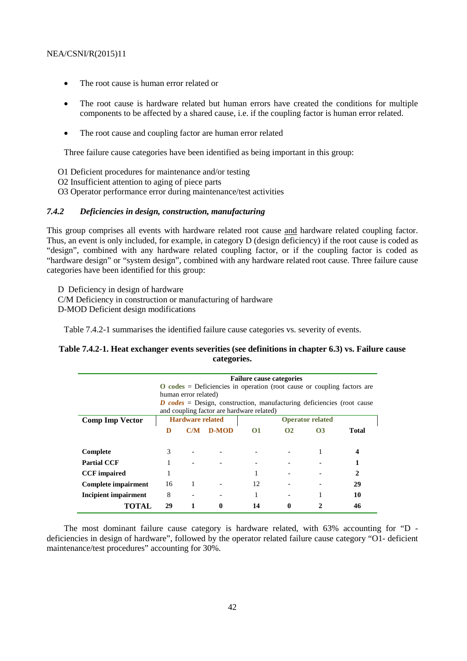- The root cause is human error related or
- The root cause is hardware related but human errors have created the conditions for multiple components to be affected by a shared cause, i.e. if the coupling factor is human error related.
- The root cause and coupling factor are human error related

Three failure cause categories have been identified as being important in this group:

- O1 Deficient procedures for maintenance and/or testing
- O2 Insufficient attention to aging of piece parts
- O3 Operator performance error during maintenance/test activities

### *7.4.2 Deficiencies in design, construction, manufacturing*

This group comprises all events with hardware related root cause and hardware related coupling factor. Thus, an event is only included, for example, in category D (design deficiency) if the root cause is coded as "design", combined with any hardware related coupling factor, or if the coupling factor is coded as "hardware design" or "system design", combined with any hardware related root cause. Three failure cause categories have been identified for this group:

D Deficiency in design of hardware

C/M Deficiency in construction or manufacturing of hardware D-MOD Deficient design modifications

Table 7.4.2-1 summarises the identified failure cause categories vs. severity of events.

### **Table 7.4.2-1. Heat exchanger events severities (see definitions in chapter 6.3) vs. Failure cause categories.**

|                             | <b>Failure cause categories</b><br>$\overline{O}$ codes = Deficiencies in operation (root cause or coupling factors are<br>human error related)<br>$\bm{D}$ codes = Design, construction, manufacturing deficiencies (root cause |                         |                                           |    |          |                         |              |
|-----------------------------|----------------------------------------------------------------------------------------------------------------------------------------------------------------------------------------------------------------------------------|-------------------------|-------------------------------------------|----|----------|-------------------------|--------------|
|                             |                                                                                                                                                                                                                                  |                         | and coupling factor are hardware related) |    |          |                         |              |
| <b>Comp Imp Vector</b>      |                                                                                                                                                                                                                                  | <b>Hardware related</b> |                                           |    |          | <b>Operator related</b> |              |
|                             | D                                                                                                                                                                                                                                | CMM                     | <b>D-MOD</b>                              | 01 | $\Omega$ | <b>O3</b>               | <b>Total</b> |
|                             |                                                                                                                                                                                                                                  |                         |                                           |    |          |                         |              |
| Complete                    | 3                                                                                                                                                                                                                                |                         |                                           |    |          |                         |              |
| <b>Partial CCF</b>          |                                                                                                                                                                                                                                  |                         |                                           |    |          |                         |              |
| <b>CCF</b> impaired         |                                                                                                                                                                                                                                  |                         |                                           |    |          |                         | 2            |
| Complete impairment         | 16                                                                                                                                                                                                                               |                         |                                           | 12 |          |                         | 29           |
| <b>Incipient impairment</b> | 8                                                                                                                                                                                                                                |                         |                                           | 1  |          |                         | 10           |
|                             | 29                                                                                                                                                                                                                               |                         | 0                                         | 14 | 0        |                         | 46           |

The most dominant failure cause category is hardware related, with 63% accounting for "D deficiencies in design of hardware", followed by the operator related failure cause category "O1- deficient maintenance/test procedures" accounting for 30%.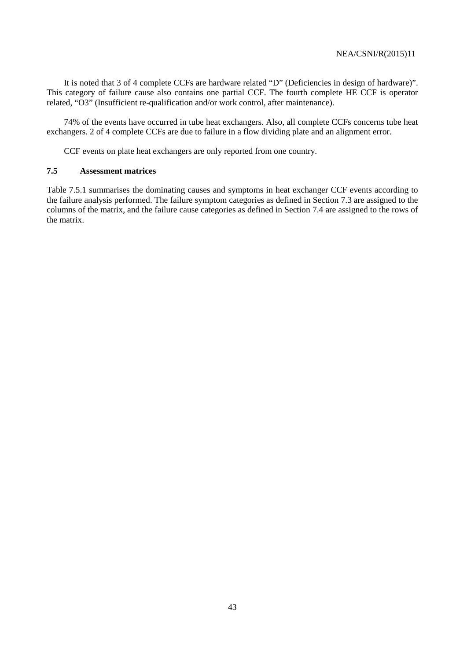It is noted that 3 of 4 complete CCFs are hardware related "D" (Deficiencies in design of hardware)". This category of failure cause also contains one partial CCF. The fourth complete HE CCF is operator related, "O3" (Insufficient re-qualification and/or work control, after maintenance).

74% of the events have occurred in tube heat exchangers. Also, all complete CCFs concerns tube heat exchangers. 2 of 4 complete CCFs are due to failure in a flow dividing plate and an alignment error.

CCF events on plate heat exchangers are only reported from one country.

### <span id="page-43-0"></span>**7.5 Assessment matrices**

Table 7.5.1 summarises the dominating causes and symptoms in heat exchanger CCF events according to the failure analysis performed. The failure symptom categories as defined in Section 7.3 are assigned to the columns of the matrix, and the failure cause categories as defined in Section 7.4 are assigned to the rows of the matrix.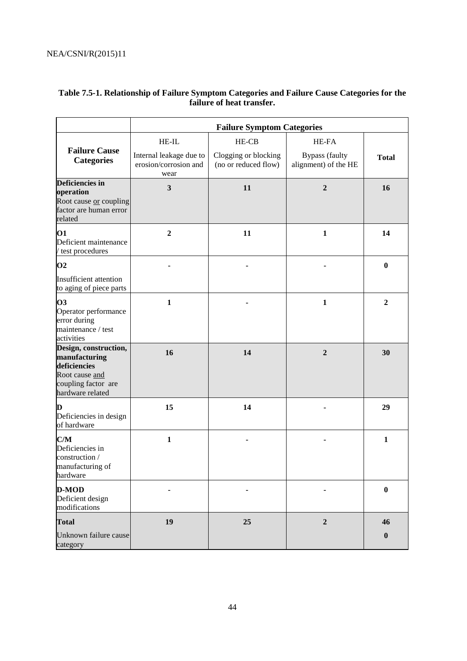|                                                                                                                     |                                                          | <b>Failure Symptom Categories</b>            |                                               |                  |  |  |  |  |
|---------------------------------------------------------------------------------------------------------------------|----------------------------------------------------------|----------------------------------------------|-----------------------------------------------|------------------|--|--|--|--|
|                                                                                                                     | $HE-IL$                                                  | HE-CB                                        | <b>HE-FA</b>                                  |                  |  |  |  |  |
| <b>Failure Cause</b><br><b>Categories</b>                                                                           | Internal leakage due to<br>erosion/corrosion and<br>wear | Clogging or blocking<br>(no or reduced flow) | <b>Bypass</b> (faulty<br>alignment) of the HE | <b>Total</b>     |  |  |  |  |
| Deficiencies in<br>operation<br>Root cause or coupling<br>factor are human error<br>related                         | 3                                                        | 11                                           | $\overline{2}$                                | 16               |  |  |  |  |
| <b>O1</b><br>Deficient maintenance<br>test procedures                                                               | $\boldsymbol{2}$                                         | 11                                           | $\mathbf{1}$                                  | 14               |  |  |  |  |
| O <sub>2</sub>                                                                                                      |                                                          |                                              |                                               | $\boldsymbol{0}$ |  |  |  |  |
| <b>Insufficient attention</b><br>to aging of piece parts                                                            |                                                          |                                              |                                               |                  |  |  |  |  |
| <b>O3</b><br>Operator performance<br>error during<br>maintenance / test<br>activities                               | $\mathbf{1}$                                             |                                              | $\mathbf{1}$                                  | $\boldsymbol{2}$ |  |  |  |  |
| Design, construction,<br>manufacturing<br>deficiencies<br>Root cause and<br>coupling factor are<br>hardware related | 16                                                       | 14                                           | $\overline{2}$                                | 30               |  |  |  |  |
| D<br>Deficiencies in design<br>of hardware                                                                          | 15                                                       | 14                                           |                                               | 29               |  |  |  |  |
| C/M<br>Deficiencies in<br>construction /<br>manufacturing of<br>hardware                                            | $\mathbf{1}$                                             |                                              |                                               | $\mathbf{1}$     |  |  |  |  |
| D-MOD<br>Deficient design<br>modifications                                                                          |                                                          |                                              |                                               | $\bf{0}$         |  |  |  |  |
| <b>Total</b>                                                                                                        | 19                                                       | 25                                           | $\overline{2}$                                | 46               |  |  |  |  |
| Unknown failure cause<br>category                                                                                   |                                                          |                                              |                                               | $\boldsymbol{0}$ |  |  |  |  |

### **Table 7.5-1. Relationship of Failure Symptom Categories and Failure Cause Categories for the failure of heat transfer.**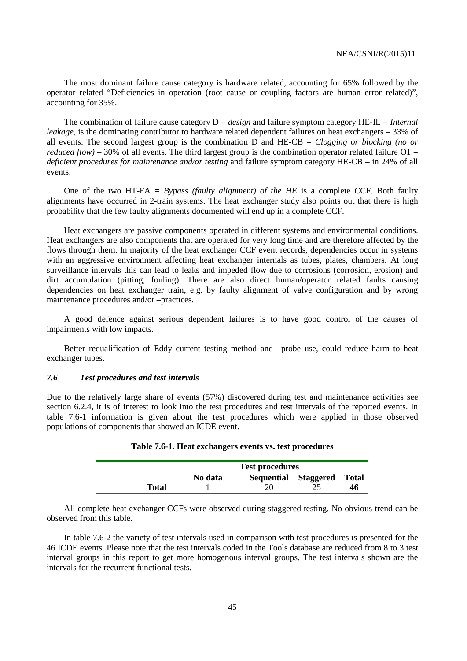The most dominant failure cause category is hardware related, accounting for 65% followed by the operator related "Deficiencies in operation (root cause or coupling factors are human error related)", accounting for 35%.

The combination of failure cause category  $D = design$  and failure symptom category HE-IL = *Internal leakage*, is the dominating contributor to hardware related dependent failures on heat exchangers – 33% of all events. The second largest group is the combination D and HE-CB = *Clogging or blocking (no or reduced flow)* – 30% of all events. The third largest group is the combination operator related failure  $O1 =$ *deficient procedures for maintenance and/or testing* and failure symptom category HE-CB – in 24% of all events.

One of the two HT-FA = *Bypass (faulty alignment) of the HE* is a complete CCF. Both faulty alignments have occurred in 2-train systems. The heat exchanger study also points out that there is high probability that the few faulty alignments documented will end up in a complete CCF.

Heat exchangers are passive components operated in different systems and environmental conditions. Heat exchangers are also components that are operated for very long time and are therefore affected by the flows through them. In majority of the heat exchanger CCF event records, dependencies occur in systems with an aggressive environment affecting heat exchanger internals as tubes, plates, chambers. At long surveillance intervals this can lead to leaks and impeded flow due to corrosions (corrosion, erosion) and dirt accumulation (pitting, fouling). There are also direct human/operator related faults causing dependencies on heat exchanger train, e.g. by faulty alignment of valve configuration and by wrong maintenance procedures and/or –practices.

A good defence against serious dependent failures is to have good control of the causes of impairments with low impacts.

Better requalification of Eddy current testing method and –probe use, could reduce harm to heat exchanger tubes.

### *7.6 Test procedures and test intervals*

Due to the relatively large share of events (57%) discovered during test and maintenance activities see section 6.2.4, it is of interest to look into the test procedures and test intervals of the reported events. In table 7.6-1 information is given about the test procedures which were applied in those observed populations of components that showed an ICDE event.

|       | <b>Test procedures</b>                   |  |  |  |  |
|-------|------------------------------------------|--|--|--|--|
|       | Sequential Staggered<br>Total<br>No data |  |  |  |  |
| Total |                                          |  |  |  |  |

| Table 7.6-1. Heat exchangers events vs. test procedures |  |  |
|---------------------------------------------------------|--|--|
|---------------------------------------------------------|--|--|

All complete heat exchanger CCFs were observed during staggered testing. No obvious trend can be observed from this table.

In table 7.6-2 the variety of test intervals used in comparison with test procedures is presented for the 46 ICDE events. Please note that the test intervals coded in the Tools database are reduced from 8 to 3 test interval groups in this report to get more homogenous interval groups. The test intervals shown are the intervals for the recurrent functional tests.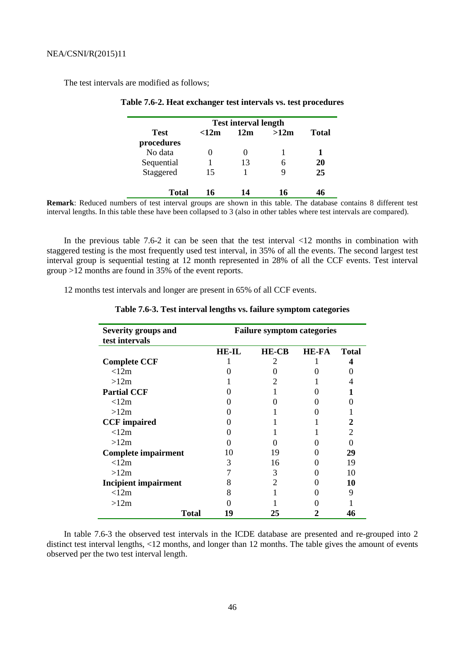The test intervals are modified as follows;

| <b>Test interval length</b> |         |     |      |       |  |  |  |
|-----------------------------|---------|-----|------|-------|--|--|--|
| <b>Test</b>                 | $<$ 12m | 12m | >12m | Total |  |  |  |
| procedures                  |         |     |      |       |  |  |  |
| No data                     |         |     |      |       |  |  |  |
| Sequential                  |         | 13  | 6    | 20    |  |  |  |
| Staggered                   | 15      |     |      | 25    |  |  |  |
|                             |         |     |      |       |  |  |  |
| Total                       | 16      | 14  | 16   | 46    |  |  |  |

**Table 7.6-2. Heat exchanger test intervals vs. test procedures**

**Remark**: Reduced numbers of test interval groups are shown in this table. The database contains 8 different test interval lengths. In this table these have been collapsed to 3 (also in other tables where test intervals are compared).

In the previous table 7.6-2 it can be seen that the test interval  $\langle 12 \rangle$  months in combination with staggered testing is the most frequently used test interval, in 35% of all the events. The second largest test interval group is sequential testing at 12 month represented in 28% of all the CCF events. Test interval group >12 months are found in 35% of the event reports.

12 months test intervals and longer are present in 65% of all CCF events.

| Severity groups and         | <b>Failure symptom categories</b> |                       |              |                |  |  |
|-----------------------------|-----------------------------------|-----------------------|--------------|----------------|--|--|
| test intervals              |                                   |                       |              |                |  |  |
|                             | <b>HE-IL</b>                      | <b>HE-CB</b>          | <b>HE-FA</b> | <b>Total</b>   |  |  |
| <b>Complete CCF</b>         |                                   | 2                     |              |                |  |  |
| < 12m                       |                                   |                       |              | 0              |  |  |
| >12m                        |                                   | 2                     |              |                |  |  |
| <b>Partial CCF</b>          |                                   |                       |              |                |  |  |
| < 12m                       |                                   |                       |              |                |  |  |
| >12m                        |                                   |                       |              |                |  |  |
| <b>CCF</b> impaired         |                                   |                       |              | 2              |  |  |
| < 12m                       |                                   |                       |              | $\overline{2}$ |  |  |
| >12m                        |                                   |                       |              | 0              |  |  |
| <b>Complete impairment</b>  | 10                                | 19                    |              | 29             |  |  |
| < 12m                       | 3                                 | 16                    |              | 19             |  |  |
| >12m                        |                                   | 3                     |              | 10             |  |  |
| <b>Incipient impairment</b> | 8                                 | $\mathcal{D}_{\cdot}$ |              | 10             |  |  |
| < 12m                       | 8                                 |                       |              | 9              |  |  |
| >12m                        |                                   |                       |              |                |  |  |
| Total                       | 19                                | 25                    |              | 46             |  |  |

**Table 7.6-3. Test interval lengths vs. failure symptom categories**

In table 7.6-3 the observed test intervals in the ICDE database are presented and re-grouped into 2 distinct test interval lengths, <12 months, and longer than 12 months. The table gives the amount of events observed per the two test interval length.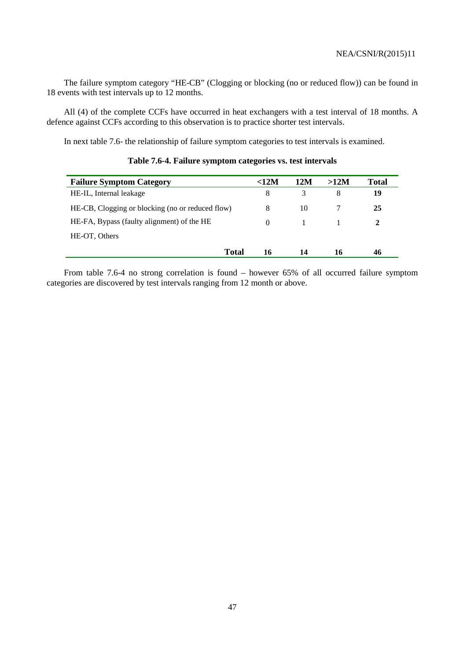The failure symptom category "HE-CB" (Clogging or blocking (no or reduced flow)) can be found in 18 events with test intervals up to 12 months.

All (4) of the complete CCFs have occurred in heat exchangers with a test interval of 18 months. A defence against CCFs according to this observation is to practice shorter test intervals.

In next table 7.6- the relationship of failure symptom categories to test intervals is examined.

| <b>Failure Symptom Category</b>                  | $<$ 12M  | 12M | >12M | <b>Total</b> |
|--------------------------------------------------|----------|-----|------|--------------|
| HE-IL, Internal leakage                          | 8        | 3   | 8    | 19           |
| HE-CB, Clogging or blocking (no or reduced flow) | 8        | 10  |      | 25           |
| HE-FA, Bypass (faulty alignment) of the HE       | $\theta$ |     |      |              |
| HE-OT, Others                                    |          |     |      |              |
| <b>Total</b>                                     | 16       | 14  | 16   | 46           |

### **Table 7.6-4. Failure symptom categories vs. test intervals**

From table 7.6-4 no strong correlation is found – however 65% of all occurred failure symptom categories are discovered by test intervals ranging from 12 month or above.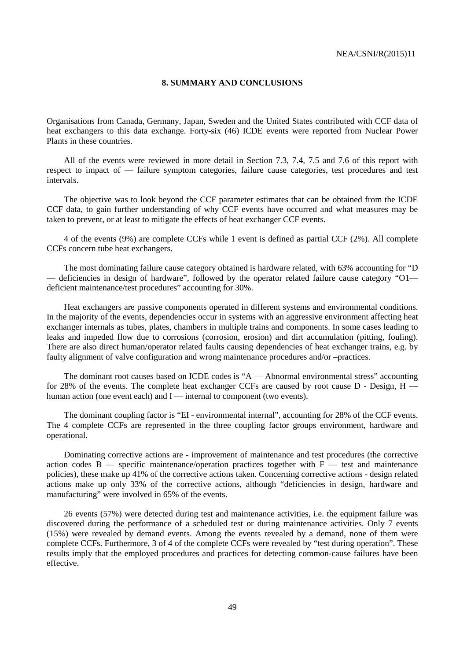### <span id="page-49-0"></span>**8. SUMMARY AND CONCLUSIONS**

Organisations from Canada, Germany, Japan, Sweden and the United States contributed with CCF data of heat exchangers to this data exchange. Forty-six (46) ICDE events were reported from Nuclear Power Plants in these countries.

All of the events were reviewed in more detail in Section 7.3, 7.4, 7.5 and 7.6 of this report with respect to impact of — failure symptom categories, failure cause categories, test procedures and test intervals.

The objective was to look beyond the CCF parameter estimates that can be obtained from the ICDE CCF data, to gain further understanding of why CCF events have occurred and what measures may be taken to prevent, or at least to mitigate the effects of heat exchanger CCF events.

4 of the events (9%) are complete CCFs while 1 event is defined as partial CCF (2%). All complete CCFs concern tube heat exchangers.

The most dominating failure cause category obtained is hardware related, with 63% accounting for "D — deficiencies in design of hardware", followed by the operator related failure cause category "O1 deficient maintenance/test procedures" accounting for 30%.

Heat exchangers are passive components operated in different systems and environmental conditions. In the majority of the events, dependencies occur in systems with an aggressive environment affecting heat exchanger internals as tubes, plates, chambers in multiple trains and components. In some cases leading to leaks and impeded flow due to corrosions (corrosion, erosion) and dirt accumulation (pitting, fouling). There are also direct human/operator related faults causing dependencies of heat exchanger trains, e.g. by faulty alignment of valve configuration and wrong maintenance procedures and/or –practices.

The dominant root causes based on ICDE codes is "A — Abnormal environmental stress" accounting for 28% of the events. The complete heat exchanger CCFs are caused by root cause  $D -$  Design,  $H$ human action (one event each) and I — internal to component (two events).

The dominant coupling factor is "EI - environmental internal", accounting for 28% of the CCF events. The 4 complete CCFs are represented in the three coupling factor groups environment, hardware and operational.

Dominating corrective actions are - improvement of maintenance and test procedures (the corrective action codes  $B$  — specific maintenance/operation practices together with  $F$  — test and maintenance policies), these make up 41% of the corrective actions taken. Concerning corrective actions - design related actions make up only 33% of the corrective actions, although "deficiencies in design, hardware and manufacturing" were involved in 65% of the events.

26 events (57%) were detected during test and maintenance activities, i.e. the equipment failure was discovered during the performance of a scheduled test or during maintenance activities. Only 7 events (15%) were revealed by demand events. Among the events revealed by a demand, none of them were complete CCFs. Furthermore, 3 of 4 of the complete CCFs were revealed by "test during operation". These results imply that the employed procedures and practices for detecting common-cause failures have been effective.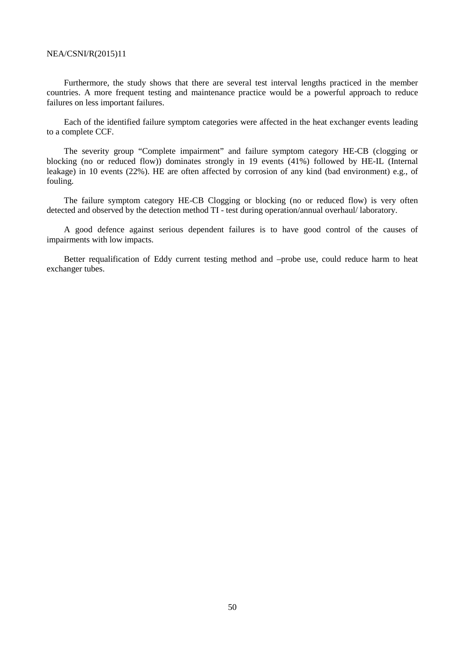Furthermore, the study shows that there are several test interval lengths practiced in the member countries. A more frequent testing and maintenance practice would be a powerful approach to reduce failures on less important failures.

Each of the identified failure symptom categories were affected in the heat exchanger events leading to a complete CCF.

The severity group "Complete impairment" and failure symptom category HE-CB (clogging or blocking (no or reduced flow)) dominates strongly in 19 events (41%) followed by HE-IL (Internal leakage) in 10 events (22%). HE are often affected by corrosion of any kind (bad environment) e.g., of fouling.

The failure symptom category HE-CB Clogging or blocking (no or reduced flow) is very often detected and observed by the detection method TI - test during operation/annual overhaul/ laboratory.

A good defence against serious dependent failures is to have good control of the causes of impairments with low impacts.

Better requalification of Eddy current testing method and –probe use, could reduce harm to heat exchanger tubes.